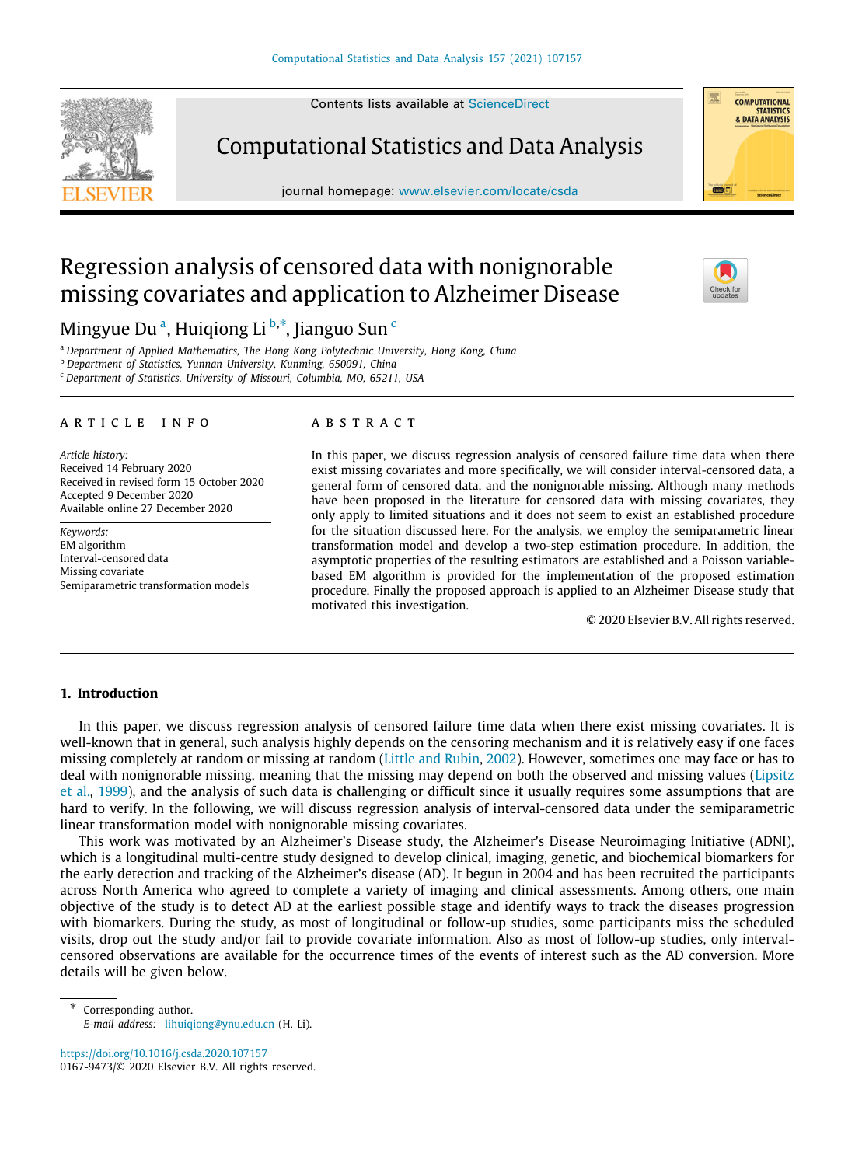Contents lists available at [ScienceDirect](http://www.elsevier.com/locate/csda)

Computational Statistics and Data Analysis

journal homepage: [www.elsevier.com/locate/csda](http://www.elsevier.com/locate/csda)



# Regression analysis of censored data with nonignorable missing covariates and application to Alzheimer Disease



<span id="page-0-0"></span><sup>a</sup> *Department of Applied Mathematics, The Hong Kong Polytechnic University, Hong Kong, China*

<span id="page-0-1"></span><sup>b</sup> *Department of Statistics, Yunnan University, Kunming, 650091, China*

<span id="page-0-3"></span><sup>c</sup> *Department of Statistics, University of Missouri, Columbia, MO, 65211, USA*

#### a r t i c l e i n f o

*Article history:* Received 14 February 2020 Received in revised form 15 October 2020 Accepted 9 December 2020 Available online 27 December 2020

*Keywords:* EM algorithm Interval-censored data Missing covariate Semiparametric transformation models

## A B S T R A C T

In this paper, we discuss regression analysis of censored failure time data when there exist missing covariates and more specifically, we will consider interval-censored data, a general form of censored data, and the nonignorable missing. Although many methods have been proposed in the literature for censored data with missing covariates, they only apply to limited situations and it does not seem to exist an established procedure for the situation discussed here. For the analysis, we employ the semiparametric linear transformation model and develop a two-step estimation procedure. In addition, the asymptotic properties of the resulting estimators are established and a Poisson variablebased EM algorithm is provided for the implementation of the proposed estimation procedure. Finally the proposed approach is applied to an Alzheimer Disease study that motivated this investigation.

© 2020 Elsevier B.V. All rights reserved.

# **1. Introduction**

In this paper, we discuss regression analysis of censored failure time data when there exist missing covariates. It is well-known that in general, such analysis highly depends on the censoring mechanism and it is relatively easy if one faces missing completely at random or missing at random ([Little and Rubin,](#page-14-0) [2002](#page-14-0)). However, sometimes one may face or has to deal with nonignorable missing, meaning that the missing may depend on both the observed and missing values ([Lipsitz](#page-14-1) [et al.](#page-14-1), [1999](#page-14-1)), and the analysis of such data is challenging or difficult since it usually requires some assumptions that are hard to verify. In the following, we will discuss regression analysis of interval-censored data under the semiparametric linear transformation model with nonignorable missing covariates.

This work was motivated by an Alzheimer's Disease study, the Alzheimer's Disease Neuroimaging Initiative (ADNI), which is a longitudinal multi-centre study designed to develop clinical, imaging, genetic, and biochemical biomarkers for the early detection and tracking of the Alzheimer's disease (AD). It begun in 2004 and has been recruited the participants across North America who agreed to complete a variety of imaging and clinical assessments. Among others, one main objective of the study is to detect AD at the earliest possible stage and identify ways to track the diseases progression with biomarkers. During the study, as most of longitudinal or follow-up studies, some participants miss the scheduled visits, drop out the study and/or fail to provide covariate information. Also as most of follow-up studies, only intervalcensored observations are available for the occurrence times of the events of interest such as the AD conversion. More details will be given below.

<https://doi.org/10.1016/j.csda.2020.107157> 0167-9473/© 2020 Elsevier B.V. All rights reserved.



<span id="page-0-2"></span>Corresponding author. *E-mail address:* [lihuiqiong@ynu.edu.cn](mailto:lihuiqiong@ynu.edu.cn) (H. Li).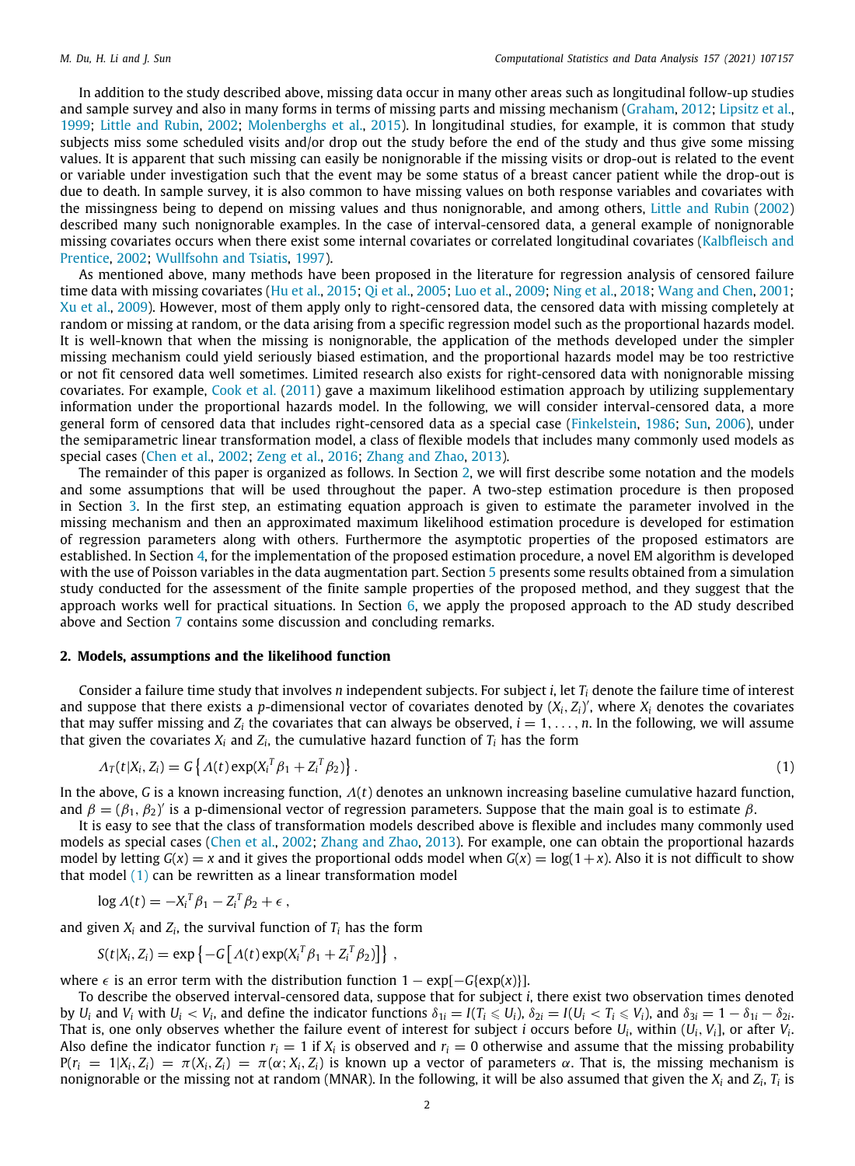In addition to the study described above, missing data occur in many other areas such as longitudinal follow-up studies and sample survey and also in many forms in terms of missing parts and missing mechanism [\(Graham,](#page-14-2) [2012](#page-14-2); [Lipsitz et al.,](#page-14-1) [1999;](#page-14-1) [Little and Rubin](#page-14-0), [2002;](#page-14-0) [Molenberghs et al.](#page-14-3), [2015\)](#page-14-3). In longitudinal studies, for example, it is common that study subjects miss some scheduled visits and/or drop out the study before the end of the study and thus give some missing values. It is apparent that such missing can easily be nonignorable if the missing visits or drop-out is related to the event or variable under investigation such that the event may be some status of a breast cancer patient while the drop-out is due to death. In sample survey, it is also common to have missing values on both response variables and covariates with the missingness being to depend on missing values and thus nonignorable, and among others, [Little and Rubin](#page-14-0) ([2002\)](#page-14-0) described many such nonignorable examples. In the case of interval-censored data, a general example of nonignorable missing covariates occurs when there exist some internal covariates or correlated longitudinal covariates ([Kalbfleisch and](#page-14-4) [Prentice,](#page-14-4) [2002;](#page-14-4) [Wullfsohn and Tsiatis](#page-14-5), [1997](#page-14-5)).

As mentioned above, many methods have been proposed in the literature for regression analysis of censored failure time data with missing covariates [\(Hu et al.](#page-14-6), [2015](#page-14-6); [Qi et al.](#page-14-7), [2005;](#page-14-7) [Luo et al.](#page-14-8), [2009](#page-14-8); [Ning et al.,](#page-14-9) [2018](#page-14-9); [Wang and Chen,](#page-14-10) [2001;](#page-14-10) [Xu et al.](#page-14-11), [2009](#page-14-11)). However, most of them apply only to right-censored data, the censored data with missing completely at random or missing at random, or the data arising from a specific regression model such as the proportional hazards model. It is well-known that when the missing is nonignorable, the application of the methods developed under the simpler missing mechanism could yield seriously biased estimation, and the proportional hazards model may be too restrictive or not fit censored data well sometimes. Limited research also exists for right-censored data with nonignorable missing covariates. For example, [Cook et al.](#page-14-12) [\(2011](#page-14-12)) gave a maximum likelihood estimation approach by utilizing supplementary information under the proportional hazards model. In the following, we will consider interval-censored data, a more general form of censored data that includes right-censored data as a special case ([Finkelstein,](#page-14-13) [1986](#page-14-13); [Sun,](#page-14-14) [2006\)](#page-14-14), under the semiparametric linear transformation model, a class of flexible models that includes many commonly used models as special cases [\(Chen et al.](#page-14-15), [2002](#page-14-15); [Zeng et al.](#page-14-16), [2016](#page-14-16); [Zhang and Zhao,](#page-14-17) [2013\)](#page-14-17).

The remainder of this paper is organized as follows. In Section [2](#page-1-0), we will first describe some notation and the models and some assumptions that will be used throughout the paper. A two-step estimation procedure is then proposed in Section [3.](#page-2-0) In the first step, an estimating equation approach is given to estimate the parameter involved in the missing mechanism and then an approximated maximum likelihood estimation procedure is developed for estimation of regression parameters along with others. Furthermore the asymptotic properties of the proposed estimators are established. In Section [4](#page-4-0), for the implementation of the proposed estimation procedure, a novel EM algorithm is developed with the use of Poisson variables in the data augmentation part. Section [5](#page-8-0) presents some results obtained from a simulation study conducted for the assessment of the finite sample properties of the proposed method, and they suggest that the approach works well for practical situations. In Section  $6$ , we apply the proposed approach to the AD study described above and Section [7](#page-11-0) contains some discussion and concluding remarks.

## **2. Models, assumptions and the likelihood function**

<span id="page-1-0"></span>Consider a failure time study that involves *n* independent subjects. For subject *i*, let *T<sup>i</sup>* denote the failure time of interest and suppose that there exists a *p*-dimensional vector of covariates denoted by (*Xi*, *Zi*) ′ , where *X<sup>i</sup>* denotes the covariates that may suffer missing and  $Z_i$  the covariates that can always be observed,  $i = 1, \ldots, n$ . In the following, we will assume that given the covariates  $X_i$  and  $Z_i$ , the cumulative hazard function of  $T_i$  has the form

<span id="page-1-1"></span>
$$
\Lambda_T(t|X_i, Z_i) = G\left\{\Lambda(t) \exp(X_i^T \beta_1 + Z_i^T \beta_2)\right\}.
$$
\n<sup>(1)</sup>

In the above, *G* is a known increasing function, Λ(*t*) denotes an unknown increasing baseline cumulative hazard function, and  $\beta=(\beta_1,\beta_2)'$  is a p-dimensional vector of regression parameters. Suppose that the main goal is to estimate  $\beta$ .

It is easy to see that the class of transformation models described above is flexible and includes many commonly used models as special cases [\(Chen et al.](#page-14-15), [2002](#page-14-15); [Zhang and Zhao](#page-14-17), [2013](#page-14-17)). For example, one can obtain the proportional hazards model by letting  $G(x) = x$  and it gives the proportional odds model when  $G(x) = \log(1+x)$ . Also it is not difficult to show that model  $(1)$  $(1)$  $(1)$  can be rewritten as a linear transformation model

$$
\log \Lambda(t) = -X_i^T \beta_1 - Z_i^T \beta_2 + \epsilon \,,
$$

and given  $X_i$  and  $Z_i$ , the survival function of  $T_i$  has the form

$$
S(t|X_i, Z_i) = \exp \left\{-G \left[ \Lambda(t) \exp(X_i^T \beta_1 + Z_i^T \beta_2) \right] \right\},
$$

where  $\epsilon$  is an error term with the distribution function  $1 - \exp[-G(\exp(x))]$ .

To describe the observed interval-censored data, suppose that for subject *i*, there exist two observation times denoted by  $U_i$  and  $V_i$  with  $U_i < V_i$ , and define the indicator functions  $\delta_{1i} = I(T_i \leq U_i)$ ,  $\delta_{2i} = I(U_i < T_i \leq V_i)$ , and  $\delta_{3i} = 1 - \delta_{1i} - \delta_{2i}$ . That is, one only observes whether the failure event of interest for subject *i* occurs before *U<sup>i</sup>* , within (*Ui*, *Vi*], or after *V<sup>i</sup>* . Also define the indicator function  $r_i = 1$  if  $X_i$  is observed and  $r_i = 0$  otherwise and assume that the missing probability  $P(r_i = 1|X_i, Z_i) = \pi(X_i, Z_i) = \pi(\alpha; X_i, Z_i)$  is known up a vector of parameters  $\alpha$ . That is, the missing mechanism is nonignorable or the missing not at random (MNAR). In the following, it will be also assumed that given the  $X_i$  and  $Z_i$ ,  $T_i$  is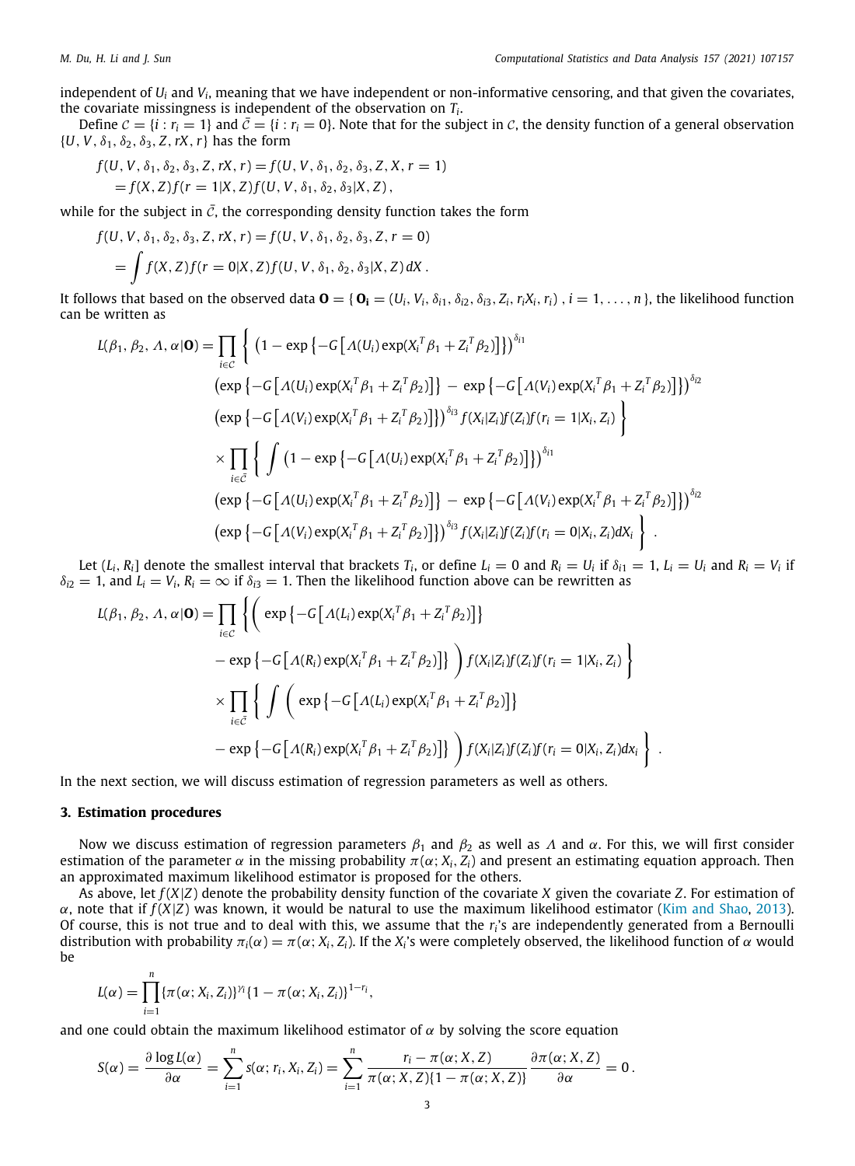independent of *U<sup>i</sup>* and *V<sup>i</sup>* , meaning that we have independent or non-informative censoring, and that given the covariates, the covariate missingness is independent of the observation on *T<sup>i</sup>* .

Define  $C = \{i : r_i = 1\}$  and  $\bar{C} = \{i : r_i = 0\}$ . Note that for the subject in C, the density function of a general observation  $\{U, V, \delta_1, \delta_2, \delta_3, Z, rX, r\}$  has the form

$$
f(U, V, \delta_1, \delta_2, \delta_3, Z, rX, r) = f(U, V, \delta_1, \delta_2, \delta_3, Z, X, r = 1)
$$
  
=  $f(X, Z) f(r = 1 | X, Z) f(U, V, \delta_1, \delta_2, \delta_3 | X, Z),$ 

while for the subject in  $\bar{c}$ , the corresponding density function takes the form

$$
f(U, V, \delta_1, \delta_2, \delta_3, Z, rX, r) = f(U, V, \delta_1, \delta_2, \delta_3, Z, r = 0)
$$
  
= 
$$
\int f(X, Z) f(r = 0 | X, Z) f(U, V, \delta_1, \delta_2, \delta_3 | X, Z) dX.
$$

It follows that based on the observed data  $\mathbf{0} = {\mathbf{0}}_i = (U_i, V_i, \delta_{i1}, \delta_{i2}, \delta_{i3}, Z_i, r_i X_i, r_i)$ ,  $i = 1, ..., n$ , the likelihood function can be written as

$$
L(\beta_1, \beta_2, \Lambda, \alpha | \mathbf{O}) = \prod_{i \in \mathcal{C}} \left\{ (1 - \exp \left\{ -G \left[ \Lambda(U_i) \exp(X_i^T \beta_1 + Z_i^T \beta_2) \right] \right\} \right)^{\delta_{i1}}
$$
  
\n
$$
(\exp \left\{ -G \left[ \Lambda(U_i) \exp(X_i^T \beta_1 + Z_i^T \beta_2) \right] \right\} - \exp \left\{ -G \left[ \Lambda(V_i) \exp(X_i^T \beta_1 + Z_i^T \beta_2) \right] \right\} \right)^{\delta_{i2}}
$$
  
\n
$$
(\exp \left\{ -G \left[ \Lambda(V_i) \exp(X_i^T \beta_1 + Z_i^T \beta_2) \right] \right\} \right)^{\delta_{i3}} f(X_i | Z_i) f(Z_i) f(r_i = 1 | X_i, Z_i) \right\}
$$
  
\n
$$
\times \prod_{i \in \bar{\mathcal{C}}} \left\{ \int (1 - \exp \left\{ -G \left[ \Lambda(U_i) \exp(X_i^T \beta_1 + Z_i^T \beta_2) \right] \right\} \right)^{\delta_{i1}}
$$
  
\n
$$
(\exp \left\{ -G \left[ \Lambda(U_i) \exp(X_i^T \beta_1 + Z_i^T \beta_2) \right] \right\} - \exp \left\{ -G \left[ \Lambda(V_i) \exp(X_i^T \beta_1 + Z_i^T \beta_2) \right] \right\} \right)^{\delta_{i2}}
$$
  
\n
$$
(\exp \left\{ -G \left[ \Lambda(V_i) \exp(X_i^T \beta_1 + Z_i^T \beta_2) \right] \right\} \right)^{\delta_{i3}} f(X_i | Z_i) f(Z_i) f(r_i = 0 | X_i, Z_i) dX_i \right\}.
$$

Let  $(L_i, R_i]$  denote the smallest interval that brackets  $T_i$ , or define  $L_i = 0$  and  $R_i = U_i$  if  $\delta_{i1} = 1$ ,  $L_i = U_i$  and  $R_i = V_i$  if  $\delta_{i2} = 1$ , and  $L_i = V_i$ ,  $R_i = \infty$  if  $\delta_{i3} = 1$ . Then the likelihood function above can be rewritten as

$$
L(\beta_1, \beta_2, \Lambda, \alpha | \mathbf{O}) = \prod_{i \in C} \left\{ \left( \exp \left\{ -G \left[ \Lambda(L_i) \exp(X_i^T \beta_1 + Z_i^T \beta_2) \right] \right\} \right. \\ \left. - \exp \left\{ -G \left[ \Lambda(R_i) \exp(X_i^T \beta_1 + Z_i^T \beta_2) \right] \right\} \right) f(X_i | Z_i) f(Z_i) f(r_i = 1 | X_i, Z_i) \right\} \\ \times \prod_{i \in \bar{C}} \left\{ \int \left( \exp \left\{ -G \left[ \Lambda(L_i) \exp(X_i^T \beta_1 + Z_i^T \beta_2) \right] \right\} \right. \\ \left. - \exp \left\{ -G \left[ \Lambda(R_i) \exp(X_i^T \beta_1 + Z_i^T \beta_2) \right] \right\} \right) f(X_i | Z_i) f(Z_i) f(r_i = 0 | X_i, Z_i) dx_i \right\} .
$$

In the next section, we will discuss estimation of regression parameters as well as others.

## **3. Estimation procedures**

<span id="page-2-0"></span>Now we discuss estimation of regression parameters  $\beta_1$  and  $\beta_2$  as well as  $\Lambda$  and  $\alpha$ . For this, we will first consider estimation of the parameter  $\alpha$  in the missing probability  $\pi(\alpha; X_i, Z_i)$  and present an estimating equation approach. Then an approximated maximum likelihood estimator is proposed for the others.

As above, let *f* (*X*|*Z*) denote the probability density function of the covariate *X* given the covariate *Z*. For estimation of α, note that if *f* (*X*|*Z*) was known, it would be natural to use the maximum likelihood estimator [\(Kim and Shao,](#page-14-18) [2013\)](#page-14-18). Of course, this is not true and to deal with this, we assume that the *r<sup>i</sup>* 's are independently generated from a Bernoulli distribution with probability  $\pi_i(\alpha) = \pi(\alpha; X_i, Z_i)$ . If the  $X_i$ 's were completely observed, the likelihood function of  $\alpha$  would be

$$
L(\alpha) = \prod_{i=1}^n \{\pi(\alpha; X_i, Z_i)\}^{\gamma_i} \{1 - \pi(\alpha; X_i, Z_i)\}^{1 - r_i},
$$

and one could obtain the maximum likelihood estimator of  $\alpha$  by solving the score equation

$$
S(\alpha) = \frac{\partial \log L(\alpha)}{\partial \alpha} = \sum_{i=1}^n s(\alpha; r_i, X_i, Z_i) = \sum_{i=1}^n \frac{r_i - \pi(\alpha; X, Z)}{\pi(\alpha; X, Z) \{1 - \pi(\alpha; X, Z)\}} \frac{\partial \pi(\alpha; X, Z)}{\partial \alpha} = 0.
$$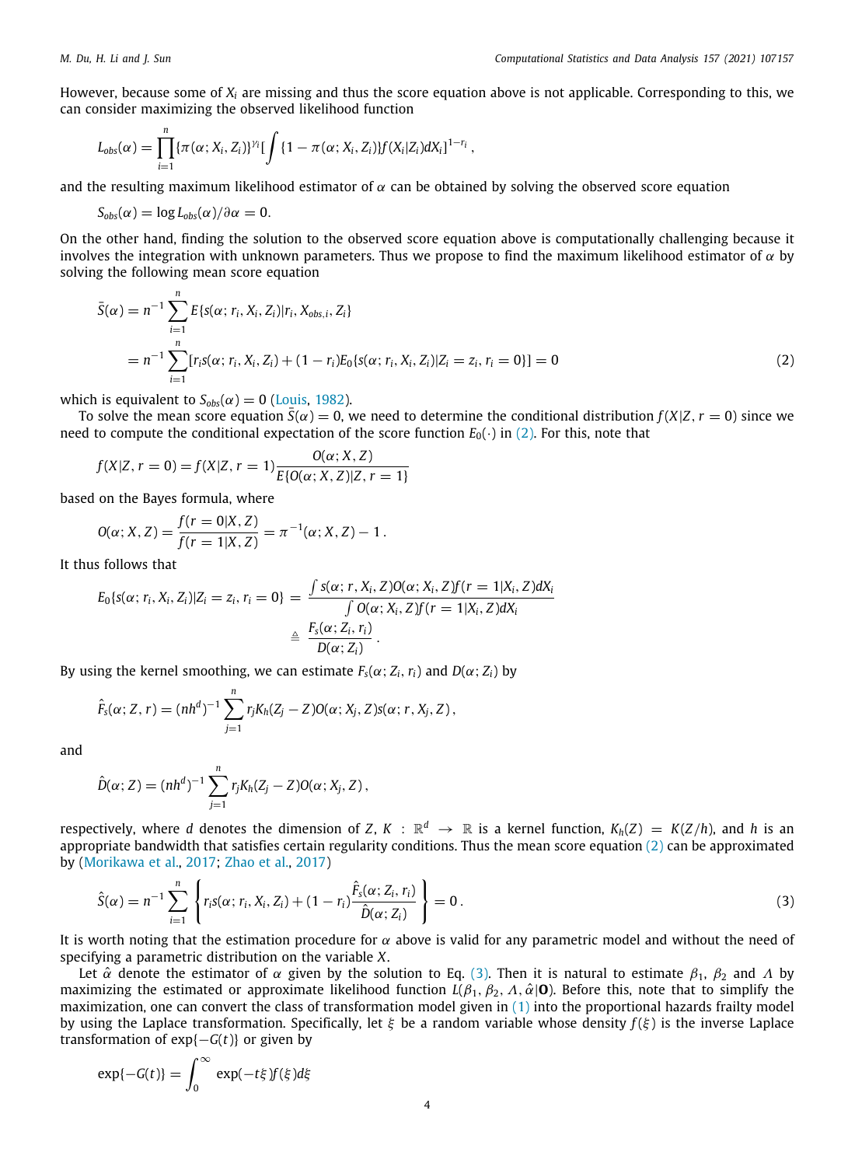However, because some of *X<sup>i</sup>* are missing and thus the score equation above is not applicable. Corresponding to this, we can consider maximizing the observed likelihood function

$$
L_{obs}(\alpha) = \prod_{i=1}^n \{ \pi(\alpha; X_i, Z_i) \}^{\gamma_i} \left[ \int \{ 1 - \pi(\alpha; X_i, Z_i) \} f(X_i | Z_i) dX_i \right]^{1-r_i},
$$

and the resulting maximum likelihood estimator of  $\alpha$  can be obtained by solving the observed score equation

 $S_{obs}(\alpha) = \log L_{obs}(\alpha)/\partial \alpha = 0.$ 

On the other hand, finding the solution to the observed score equation above is computationally challenging because it involves the integration with unknown parameters. Thus we propose to find the maximum likelihood estimator of  $\alpha$  by solving the following mean score equation

<span id="page-3-0"></span>
$$
\bar{S}(\alpha) = n^{-1} \sum_{i=1}^{n} E\{s(\alpha; r_i, X_i, Z_i) | r_i, X_{obs,i}, Z_i\}
$$
  
= 
$$
n^{-1} \sum_{i=1}^{n} [r_i s(\alpha; r_i, X_i, Z_i) + (1 - r_i) E_0\{s(\alpha; r_i, X_i, Z_i) | Z_i = z_i, r_i = 0\}] = 0
$$
 (2)

which is equivalent to  $S_{obs}(\alpha) = 0$  ([Louis,](#page-14-19) [1982](#page-14-19)).

To solve the mean score equation  $\bar{S}(\alpha) = 0$ , we need to determine the conditional distribution  $f(X|Z, r = 0)$  since we need to compute the conditional expectation of the score function  $E_0(\cdot)$  in [\(2\)](#page-3-0). For this, note that

$$
f(X|Z, r = 0) = f(X|Z, r = 1) \frac{O(\alpha; X, Z)}{E\{O(\alpha; X, Z)|Z, r = 1\}}
$$

based on the Bayes formula, where

$$
O(\alpha; X, Z) = \frac{f(r = 0|X, Z)}{f(r = 1|X, Z)} = \pi^{-1}(\alpha; X, Z) - 1.
$$

It thus follows that

$$
E_0\{s(\alpha; r_i, X_i, Z_i)|Z_i = z_i, r_i = 0\} = \frac{\int s(\alpha; r, X_i, Z)O(\alpha; X_i, Z)f(r = 1|X_i, Z)dX_i}{\int O(\alpha; X_i, Z)f(r = 1|X_i, Z)dX_i} \triangleq \frac{F_s(\alpha; Z_i, r_i)}{D(\alpha; Z_i)}.
$$

By using the kernel smoothing, we can estimate  $F_s(\alpha; Z_i, r_i)$  and  $D(\alpha; Z_i)$  by

$$
\hat{F}_s(\alpha; Z, r) = (nh^d)^{-1} \sum_{j=1}^n r_j K_h(Z_j - Z) O(\alpha; X_j, Z) s(\alpha; r, X_j, Z),
$$

and

$$
\hat{D}(\alpha; Z) = (nh^d)^{-1} \sum_{j=1}^n r_j K_h(Z_j - Z) O(\alpha; X_j, Z),
$$

respectively, where  $d$  denotes the dimension of  $Z,$   $K$   $:$   $\R^d$   $\to$   $\R$  is a kernel function,  $K_h(Z)$   $=$   $K(Z/h)$ , and  $h$  is an appropriate bandwidth that satisfies certain regularity conditions. Thus the mean score equation  $(2)$  $(2)$  can be approximated by ([Morikawa et al.,](#page-14-20) [2017;](#page-14-20) [Zhao et al.,](#page-14-21) [2017\)](#page-14-21)

<span id="page-3-1"></span>
$$
\hat{S}(\alpha) = n^{-1} \sum_{i=1}^{n} \left\{ r_i s(\alpha; r_i, X_i, Z_i) + (1 - r_i) \frac{\hat{F}_s(\alpha; Z_i, r_i)}{\hat{D}(\alpha; Z_i)} \right\} = 0.
$$
\n(3)

It is worth noting that the estimation procedure for  $\alpha$  above is valid for any parametric model and without the need of specifying a parametric distribution on the variable *X*.

Let  $\hat{\alpha}$  denote the estimator of  $\alpha$  given by the solution to Eq. [\(3\)](#page-3-1). Then it is natural to estimate  $\beta_1$ ,  $\beta_2$  and  $\Lambda$  by maximizing the estimated or approximate likelihood function  $L(\beta_1, \beta_2, \Lambda, \hat{\alpha}|\mathbf{O})$ . Before this, note that to simplify the maximization, one can convert the class of transformation model given in  $(1)$  $(1)$  $(1)$  into the proportional hazards frailty model by using the Laplace transformation. Specifically, let  $\xi$  be a random variable whose density  $f(\xi)$  is the inverse Laplace transformation of  $exp{-G(t)}$  or given by

$$
\exp\{-G(t)\} = \int_0^\infty \exp(-t\xi) f(\xi) d\xi
$$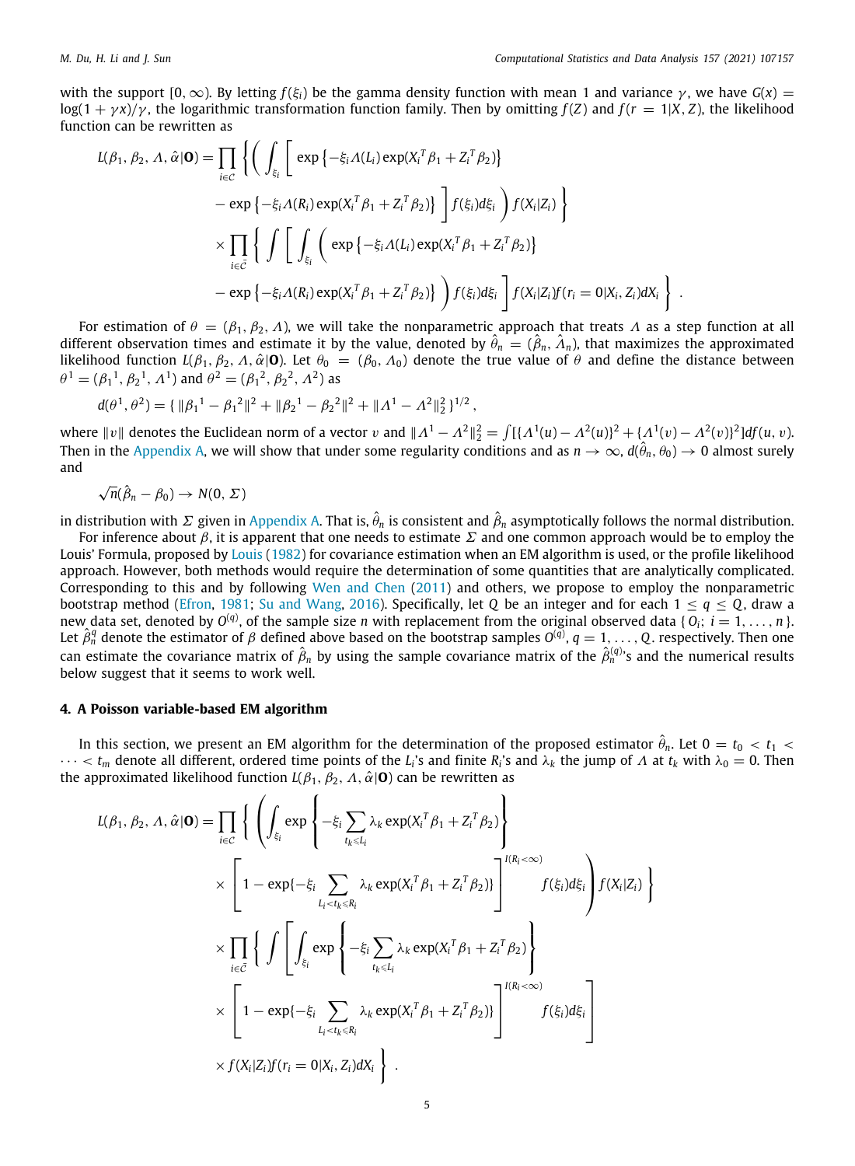with the support  $[0, \infty)$ . By letting  $f(\xi_i)$  be the gamma density function with mean 1 and variance  $\gamma$ , we have  $G(x)$  = log(1 + γx)/γ, the logarithmic transformation function family. Then by omitting  $f(Z)$  and  $f(r = 1|X, Z)$ , the likelihood function can be rewritten as

$$
L(\beta_1, \beta_2, \Lambda, \hat{\alpha} | \mathbf{O}) = \prod_{i \in C} \left\{ \left( \int_{\xi_i} \left[ \exp \left\{ -\xi_i \Lambda(L_i) \exp(X_i^T \beta_1 + Z_i^T \beta_2) \right\} \right. \right. \\ \left. - \exp \left\{ -\xi_i \Lambda(R_i) \exp(X_i^T \beta_1 + Z_i^T \beta_2) \right\} \right] f(\xi_i) d\xi_i \right) f(X_i | Z_i) \right\} \\ \times \prod_{i \in \bar{C}} \left\{ \int \left[ \int_{\xi_i} \left( \exp \left\{ -\xi_i \Lambda(L_i) \exp(X_i^T \beta_1 + Z_i^T \beta_2) \right\} \right. \right. \\ \left. - \exp \left\{ -\xi_i \Lambda(R_i) \exp(X_i^T \beta_1 + Z_i^T \beta_2) \right\} \right) f(\xi_i) d\xi_i \right\} f(X_i | Z_i) f(r_i = 0 | X_i, Z_i) dX_i \right\} .
$$

For estimation of  $\theta = (\beta_1, \beta_2, \Lambda)$ , we will take the nonparametric approach that treats  $\Lambda$  as a step function at all different observation times and estimate it by the value, denoted by  $\hat{\theta}_n = (\hat{\beta}_n, \hat{\Lambda}_n)$ , that maximizes the approximated likelihood function  $L(\beta_1, \beta_2, \Lambda, \hat{\alpha} | \mathbf{0})$ . Let  $\theta_0 = (\beta_0, \Lambda_0)$  denote the true value of  $\hat{\theta}$  and define the distance between  $\theta^1 = (\beta_1^{\ 1}, \beta_2^{\ 1}, \Lambda^1)$  and  $\theta^2 = (\beta_1^{\ 2}, \beta_2^{\ 2}, \Lambda^2)$  as

$$
d(\theta^1, \theta^2) = {\{\|\beta_1^1 - \beta_1^2\|^2 + \|\beta_2^1 - \beta_2^2\|^2 + \|\Lambda^1 - \Lambda^2\|_2^2\}^{1/2}},
$$

where  $\|v\|$  denotes the Euclidean norm of a vector  $v$  and  $\| \varLambda^1 - \varLambda^2\|_2^2 = \int [\{\varLambda^1(u) - \varLambda^2(u)\}^2 + \{\varLambda^1(v) - \varLambda^2(v)\}^2] df(u,v)$ . Then in the [Appendix](#page-13-0) [A,](#page-13-0) we will show that under some regularity conditions and as  $n\to\infty$ ,  $d(\hat\theta_n,\theta_0)\to 0$  almost surely and

 $\sqrt{n}(\hat{\beta}_n - \beta_0) \rightarrow N(0, \Sigma)$ 

in distribution with  $\varSigma$  given in [Appendix](#page-13-0) [A](#page-13-0). That is,  $\hat\theta_n$  is consistent and  $\hat\beta_n$  asymptotically follows the normal distribution.

For inference about  $\beta$ , it is apparent that one needs to estimate  $\Sigma$  and one common approach would be to employ the Louis' Formula, proposed by [Louis](#page-14-19) ([1982\)](#page-14-19) for covariance estimation when an EM algorithm is used, or the profile likelihood approach. However, both methods would require the determination of some quantities that are analytically complicated. Corresponding to this and by following [Wen and Chen](#page-14-22) [\(2011](#page-14-22)) and others, we propose to employ the nonparametric bootstrap method [\(Efron,](#page-14-23) [1981](#page-14-23); [Su and Wang,](#page-14-24) [2016\)](#page-14-24). Specifically, let *Q* be an integer and for each  $1 \le q \le Q$ , draw a new data set, denoted by  $O^{(q)}$ , of the sample size  $n$  with replacement from the original observed data {  $O_i$ ;  $i=1,\ldots,n$  }. Let  $\hat{\beta}^q_n$  denote the estimator of  $\beta$  defined above based on the bootstrap samples  $O^{(\bar{q})}$ ,  $q=1,\ldots,Q$ . respectively. Then one can estimate the covariance matrix of  $\hat\beta_n$  by using the sample covariance matrix of the  $\hat\beta_n^{(q)}$ 's and the numerical results below suggest that it seems to work well.

## **4. A Poisson variable-based EM algorithm**

<span id="page-4-0"></span>In this section, we present an EM algorithm for the determination of the proposed estimator  $\hat{\theta}_n$ . Let 0 = t $_0$  < t $_1$  <  $\cdots < t_m$  denote all different, ordered time points of the *L*<sub>*i*</sub>'s and finite *R*<sub>*i*</sub>'s and  $\lambda_k$  the jump of  $\Lambda$  at  $t_k$  with  $\lambda_0 = 0$ . Then the approximated likelihood function  $L(\beta_1, \beta_2, \Lambda, \hat{\alpha}|\mathbf{0})$  can be rewritten as

$$
L(\beta_1, \beta_2, \Lambda, \hat{\alpha} | \mathbf{O}) = \prod_{i \in \mathcal{C}} \left\{ \left( \int_{\xi_i} \exp \left\{ -\xi_i \sum_{t_k \le L_i} \lambda_k \exp(X_i^T \beta_1 + Z_i^T \beta_2) \right\} \right. \\ \times \left. \left[ 1 - \exp\{-\xi_i \sum_{L_i < t_k \le R_i} \lambda_k \exp(X_i^T \beta_1 + Z_i^T \beta_2) \} \right]^{I(R_i < \infty)} f(\xi_i) d\xi_i \right) f(X_i | Z_i) \right\} \\ \times \prod_{i \in \bar{\mathcal{C}}} \left\{ \int \left[ \int_{\xi_i} \exp \left\{ -\xi_i \sum_{t_k \le L_i} \lambda_k \exp(X_i^T \beta_1 + Z_i^T \beta_2) \right\} \right. \\ \times \left. \left[ 1 - \exp\{-\xi_i \sum_{L_i < t_k \le R_i} \lambda_k \exp(X_i^T \beta_1 + Z_i^T \beta_2) \} \right]^{I(R_i < \infty)} f(\xi_i) d\xi_i \right] \\ \times f(X_i | Z_i) f(r_i = 0 | X_i, Z_i) dX_i \right\} .
$$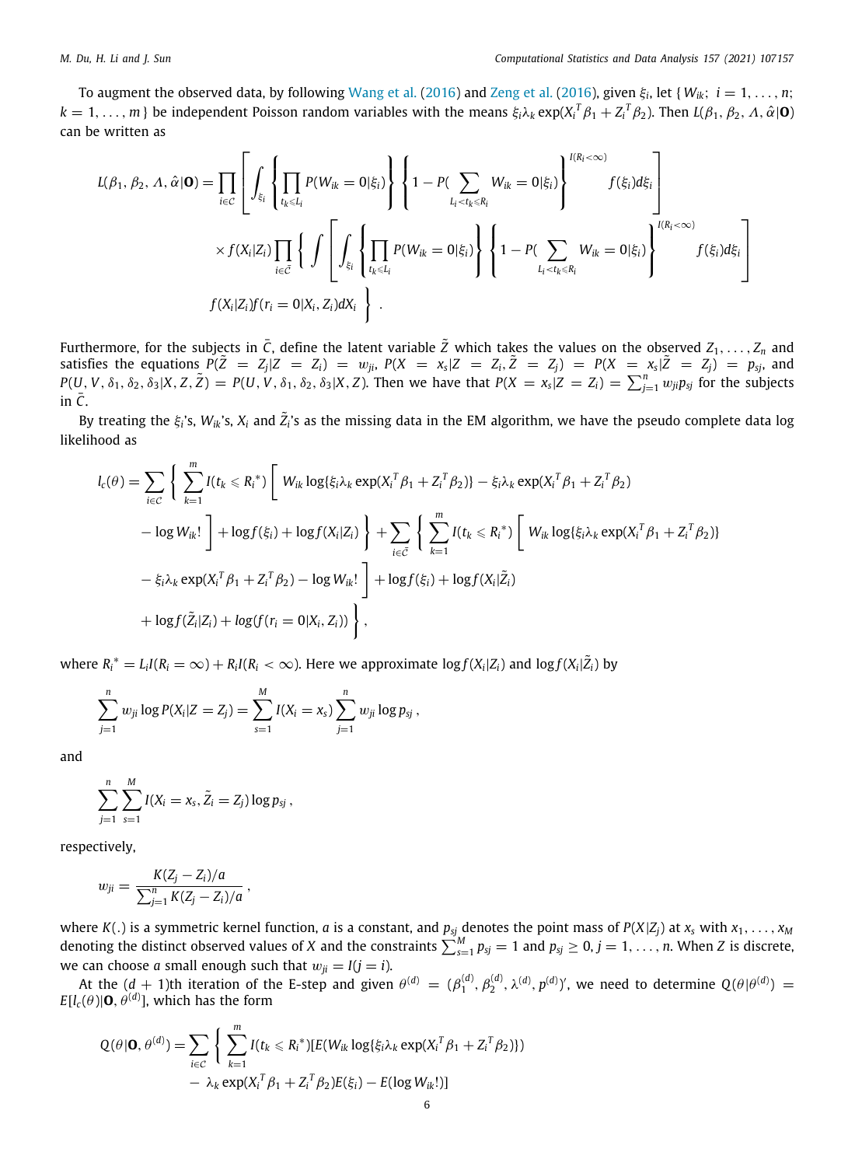To augment the observed data, by following [Wang et al.](#page-14-25) [\(2016](#page-14-25)) and [Zeng et al.](#page-14-16) ([2016\)](#page-14-16), given ξ*<sup>i</sup>* , let { *Wik*; *i* = 1, . . . , *n*;  $k = 1, \ldots, m$  } be independent Poisson random variables with the means  $\xi_i\lambda_k \exp(X_i^T\beta_1 + Z_i^T\beta_2)$ . Then  $L(\beta_1, \beta_2, \Lambda, \hat{\alpha}|\mathbf{O})$ can be written as

$$
L(\beta_1, \beta_2, \Lambda, \hat{\alpha} | \mathbf{O}) = \prod_{i \in C} \left[ \int_{\xi_i} \left\{ \prod_{t_k \leq L_i} P(W_{ik} = 0 | \xi_i) \right\} \left\{ 1 - P(\sum_{L_i < t_k \leq R_i} W_{ik} = 0 | \xi_i) \right\}^{I(R_i < \infty)} f(\xi_i) d\xi_i \right\} \times f(X_i | Z_i) \prod_{i \in \bar{C}} \left\{ \int \left[ \int_{\xi_i} \left\{ \prod_{t_k \leq L_i} P(W_{ik} = 0 | \xi_i) \right\} \left\{ 1 - P(\sum_{L_i < t_k \leq R_i} W_{ik} = 0 | \xi_i) \right\}^{I(R_i < \infty)} f(\xi_i) d\xi_i \right\} \right]
$$
\n
$$
f(X_i | Z_i) f(r_i = 0 | X_i, Z_i) dX_i \right\} .
$$

Furthermore, for the subjects in  $\bar{C}$ , define the latent variable  $\tilde{Z}$  which takes the values on the observed  $Z_1, \ldots, Z_n$  and satisfies the equations  $P(\tilde{Z} = Z_j | Z = Z_i) = w_{ji}$ ,  $P(X = x_s | Z = Z_i, \tilde{Z} = Z_j) = P(X = x_s | \tilde{Z} = Z_j) = p_{sj}$ , and  $P(U, V, \delta_1, \delta_2, \delta_3 | X, Z, \tilde{Z}) = P(U, V, \delta_1, \delta_2, \delta_3 | X, Z)$ . Then we have that  $P(X = x_s | Z = Z_i) = \sum_{j=1}^n w_{ji} p_{sj}$  for the subjects in  $\bar{C}$ .

By treating the  $\xi_i$ 's,  $W_{ik}$ 's,  $X_i$  and  $\tilde Z_i$ 's as the missing data in the EM algorithm, we have the pseudo complete data log likelihood as

$$
l_c(\theta) = \sum_{i \in C} \left\{ \sum_{k=1}^m I(t_k \leq R_i^*) \left[ W_{ik} \log\{\xi_i \lambda_k \exp(X_i^T \beta_1 + Z_i^T \beta_2)\} - \xi_i \lambda_k \exp(X_i^T \beta_1 + Z_i^T \beta_2) \right. \\ \left. - \log W_{ik}! \right] + \log f(\xi_i) + \log f(X_i | Z_i) \right\} + \sum_{i \in \bar{C}} \left\{ \sum_{k=1}^m I(t_k \leq R_i^*) \left[ W_{ik} \log\{\xi_i \lambda_k \exp(X_i^T \beta_1 + Z_i^T \beta_2)\} - \xi_i \lambda_k \exp(X_i^T \beta_1 + Z_i^T \beta_2) - \log W_{ik}! \right] + \log f(\xi_i) + \log f(X_i | \bar{Z}_i) \\ + \log f(\bar{Z}_i | Z_i) + \log (f(r_i = 0 | X_i, Z_i)) \right\},
$$

where  $R_i^*=L_iI(R_i=\infty)+R_iI(R_i<\infty)$ . Here we approximate  $\log f(X_i|Z_i)$  and  $\log f(X_i|\tilde{Z_i})$  by

$$
\sum_{j=1}^n w_{ji} \log P(X_i | Z = Z_j) = \sum_{s=1}^M I(X_i = x_s) \sum_{j=1}^n w_{ji} \log p_{sj},
$$

and

$$
\sum_{j=1}^n \sum_{s=1}^M I(X_i = x_s, \tilde{Z}_i = Z_j) \log p_{sj},
$$

respectively,

$$
w_{ji} = \frac{K(Z_j - Z_i)/a}{\sum_{j=1}^n K(Z_j - Z_i)/a} \,,
$$

where *K*(.) is a symmetric kernel function, *a* is a constant, and *psj* denotes the point mass of *P*(*X*|*Zj*) at *x<sup>s</sup>* with *x*1, . . . , *x<sup>M</sup>* denoting the distinct observed values of *X* and the constraints  $\sum_{s=1}^{M}p_{sj}=1$  and  $p_{sj}\geq 0, j=1,\ldots,n$ . When *Z* is discrete, we can choose *a* small enough such that  $w_{ji} = I(j = i)$ .

At the  $(d+1)$ th iteration of the E-step and given  $\theta^{(d)} = (\beta_1^{(d)}, \beta_2^{(d)}, \lambda^{(d)}, p^{(d)})'$ , we need to determine  $Q(\theta|\theta^{(d)}) =$  $E[l_c(\theta)|\mathbf{0},\theta^{(d)}]$ , which has the form

$$
Q(\theta | \mathbf{O}, \theta^{(d)}) = \sum_{i \in \mathcal{C}} \left\{ \sum_{k=1}^{m} I(t_k \leq R_i^*) [E(W_{ik} \log\{\xi_i \lambda_k \exp(X_i^T \beta_1 + Z_i^T \beta_2)\}) - \lambda_k \exp(X_i^T \beta_1 + Z_i^T \beta_2) E(\xi_i) - E(\log W_{ik}!)] \right\}
$$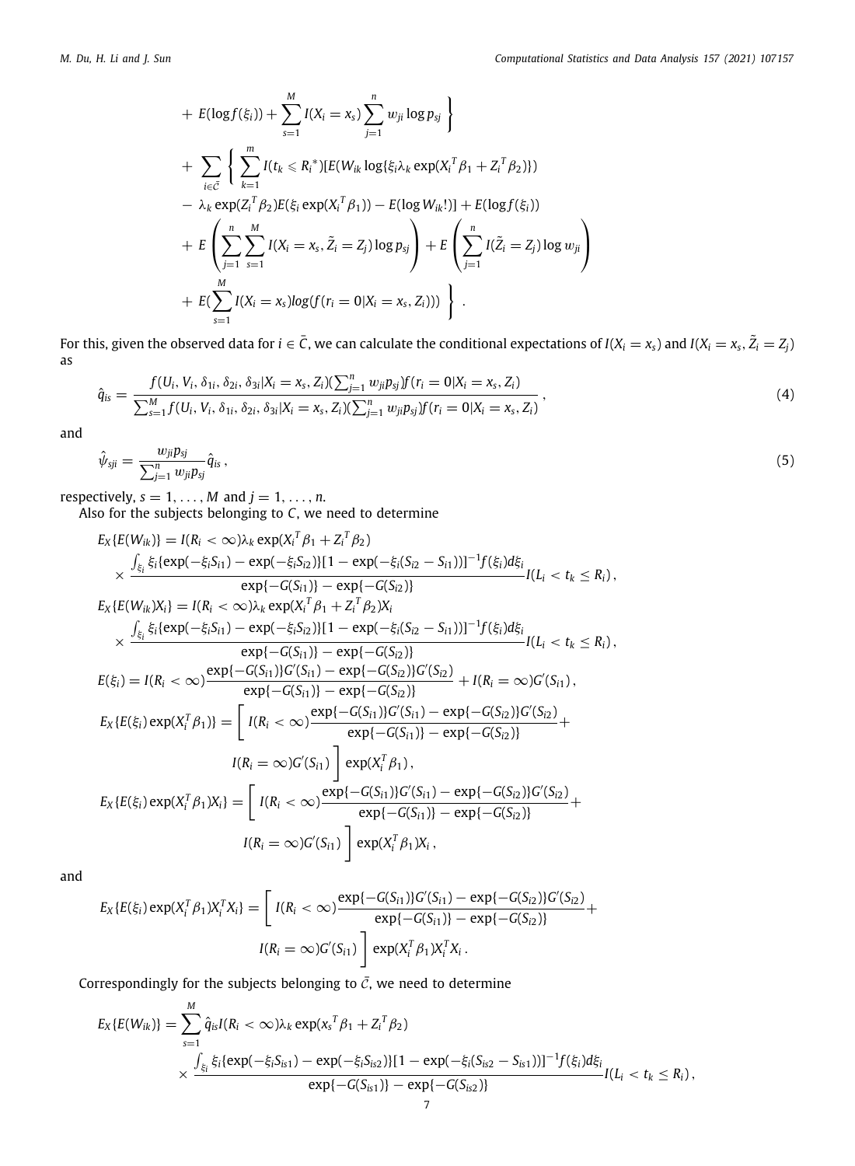<span id="page-6-0"></span>+ 
$$
E(\log f(\xi_i))
$$
 +  $\sum_{s=1}^{M} I(X_i = x_s) \sum_{j=1}^{n} w_{ji} \log p_{sj}$   
+  $\sum_{i \in \bar{C}} \left\{ \sum_{k=1}^{m} I(t_k \leq R_i^*) [E(W_{ik} \log \{\xi_i \lambda_k \exp(X_i^T \beta_1 + Z_i^T \beta_2)\})$   
-  $\lambda_k \exp(Z_i^T \beta_2) E(\xi_i \exp(X_i^T \beta_1)) - E(\log W_{ik}!) ] + E(\log f(\xi_i))$   
+  $E \left( \sum_{j=1}^{n} \sum_{s=1}^{M} I(X_i = x_s, \tilde{Z}_i = Z_j) \log p_{sj} \right) + E \left( \sum_{j=1}^{n} I(\tilde{Z}_i = Z_j) \log w_{ji} \right)$   
+  $E(\sum_{s=1}^{M} I(X_i = x_s) \log (f(r_i = 0 | X_i = x_s, Z_i)))$ .

For this, given the observed data for  $i\in\bar C$ , we can calculate the conditional expectations of  $I(X_i=x_s)$  and  $I(X_i=x_s,\tilde Z_i=Z_j)$ as

$$
\hat{q}_{is} = \frac{f(U_i, V_i, \delta_{1i}, \delta_{2i}, \delta_{3i}|X_i = x_s, Z_i)(\sum_{j=1}^n w_{ji} p_{sj})f(r_i = 0|X_i = x_s, Z_i)}{\sum_{s=1}^M f(U_i, V_i, \delta_{1i}, \delta_{2i}, \delta_{3i}|X_i = x_s, Z_i)(\sum_{j=1}^n w_{ji} p_{sj})f(r_i = 0|X_i = x_s, Z_i)},
$$
\n(4)

and

<span id="page-6-1"></span>
$$
\hat{\psi}_{sji} = \frac{w_{ji} p_{sj}}{\sum_{j=1}^n w_{ji} p_{sj}} \hat{q}_{is} \,,\tag{5}
$$

respectively,  $s = 1, \ldots, M$  and  $j = 1, \ldots, n$ .

Also for the subjects belonging to *C*, we need to determine

$$
E_{X}\{E(W_{ik})\} = I(R_{i} < \infty)\lambda_{k} \exp(X_{i}^{T}\beta_{1} + Z_{i}^{T}\beta_{2})
$$
\n
$$
\times \frac{\int_{\xi_{i}} \xi_{i} \{exp(-\xi_{i}S_{i1}) - exp(-\xi_{i}S_{i2})\}[1 - exp(-\xi_{i}(S_{i2} - S_{i1}))]^{-1}f(\xi_{i})d\xi_{i}}{exp\{-G(S_{i1})\} - exp\{-G(S_{i2})\}}I(L_{i} < t_{k} \leq R_{i}),
$$
\n
$$
E_{X}\{E(W_{ik}|X_{i}\} = I(R_{i} < \infty)\lambda_{k} \exp(X_{i}^{T}\beta_{1} + Z_{i}^{T}\beta_{2})X_{i}
$$
\n
$$
\times \frac{\int_{\xi_{i}} \xi_{i} \{exp(-\xi_{i}S_{i1}) - exp(-\xi_{i}S_{i2})\}[1 - exp(-\xi_{i}(S_{i2} - S_{i1}))]^{-1}f(\xi_{i})d\xi_{i}}{exp\{-G(S_{i1})\} - exp\{-G(S_{i2})\}}I(L_{i} < t_{k} \leq R_{i}),
$$
\n
$$
E(\xi_{i}) = I(R_{i} < \infty) \frac{exp\{-G(S_{i1})\}G'(S_{i1}) - exp\{-G(S_{i2})\}G'(S_{i2})}{exp\{-G(S_{i1})\} - exp\{-G(S_{i2})\}} + I(R_{i} = \infty)G'(S_{i1}),
$$
\n
$$
E_{X}\{E(\xi_{i}) exp(X_{i}^{T}\beta_{1})\} = \begin{bmatrix} I(R_{i} < \infty) \frac{exp\{-G(S_{i1})\}G'(S_{i1}) - exp\{-G(S_{i2})\}G'(S_{i2})}{exp\{-G(S_{i1})\} - exp\{-G(S_{i2})\}G'(S_{i2})} + I(R_{i} = \infty)G'(S_{i1}) \frac{exp\{X_{i}^{T}\beta_{1}}}{exp\{-G(S_{i1})\} - exp\{-G(S_{i2})\}G'(S_{i2})} + I(R_{i} = \infty)G'(S_{i1}) \frac{exp\{X_{i}^{T}\beta_{1}}}{exp\{-G(S_{i1})\} - exp\{-G(S_{i2})\}G'(S_{i2})} + I(R_{i} = \
$$

and

$$
E_X\{E(\xi_i)\exp(X_i^T\beta_1)X_i^T X_i\} = \left[I(R_i < \infty)\frac{\exp\{-G(S_{i1})\}G'(S_{i1}) - \exp\{-G(S_{i2})\}G'(S_{i2})}{\exp\{-G(S_{i1})\} - \exp\{-G(S_{i2})\}} + I(R_i = \infty)G'(S_{i1})\right] \exp(X_i^T\beta_1)X_i^T X_i.
$$

Correspondingly for the subjects belonging to  $\bar{c}$ , we need to determine

$$
E_X\{E(W_{ik})\} = \sum_{s=1}^M \hat{q}_{is} I(R_i < \infty) \lambda_k \exp(x_s^T \beta_1 + Z_i^T \beta_2)
$$
  
 
$$
\times \frac{\int_{\xi_i} \xi_i \{exp(-\xi_i S_{is1}) - exp(-\xi_i S_{is2})\}[1 - exp(-\xi_i (S_{is2} - S_{is1}))]^{-1} f(\xi_i) d\xi_i}{exp\{-G(S_{is1})\} - exp\{-G(S_{is2})\}}
$$
  

$$
I(L_i < t_k \le R_i),
$$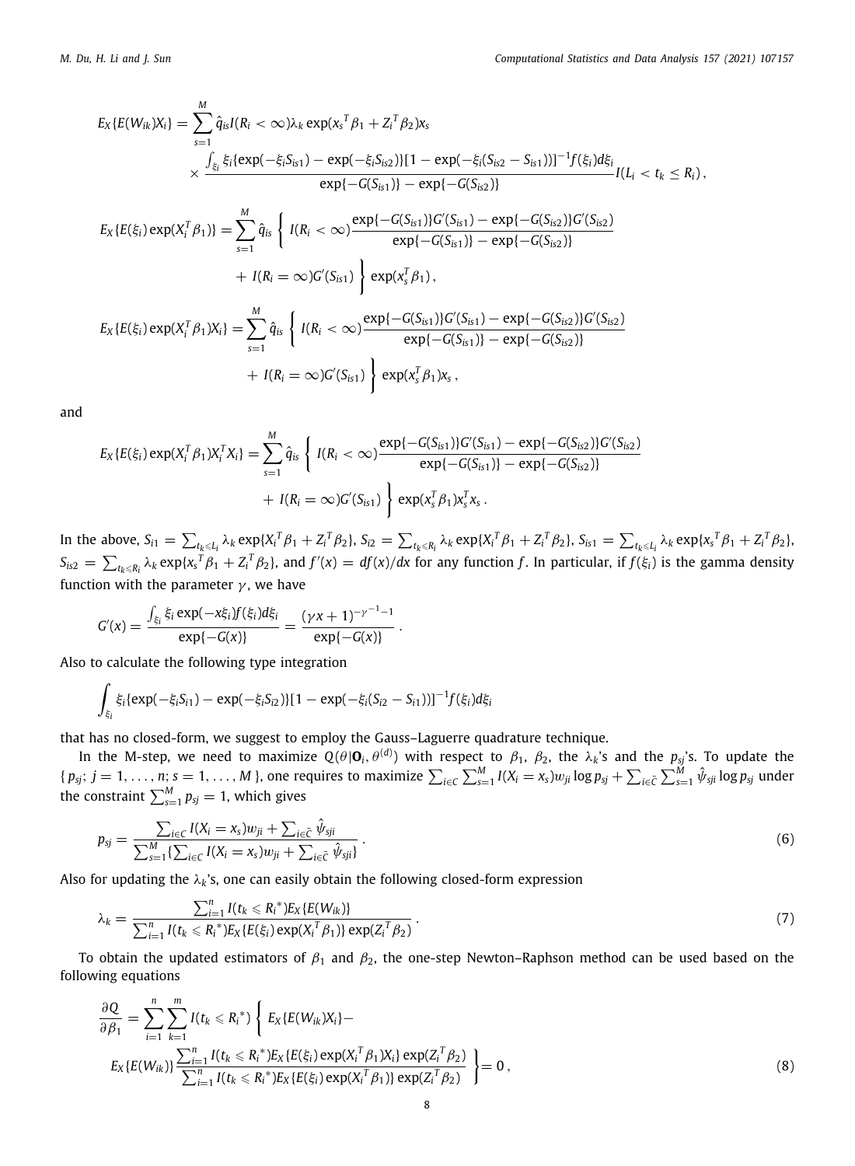$$
E_{X}\{E(W_{ik})X_{i}\} = \sum_{s=1}^{M} \hat{q}_{is}I(R_{i} < \infty)\lambda_{k} \exp(x_{s}^{T}\beta_{1} + Z_{i}^{T}\beta_{2})x_{s}
$$
  

$$
\times \frac{\int_{\xi_{i}} \xi_{i} \{exp(-\xi_{i}S_{is1}) - exp(-\xi_{i}S_{is2})\}[1 - exp(-\xi_{i}(S_{is2} - S_{is1}))]^{-1}f(\xi_{i})d\xi_{i}}{exp\{-G(S_{is1})\} - exp\{-G(S_{is2})\}}
$$

$$
I(L_{i} < t_{k} \leq R_{i}),
$$

$$
E_{X}\{E(\xi_{i}) \exp(X_{i}^{T}\beta_{1})\} = \sum_{s=1}^{M} \hat{q}_{is} \left\{ I(R_{i} < \infty) \frac{exp\{-G(S_{is1})\}G'(S_{is1}) - exp\{-G(S_{is2})\}G'(S_{is2})}{exp\{-G(S_{is1})\} - exp\{-G(S_{is2})\}}
$$

$$
+ I(R_{i} = \infty)G'(S_{is1}) \right\} exp(x_{s}^{T}\beta_{1}),
$$

$$
E_{X}\{E(\xi_{i}) \exp(X_{i}^{T}\beta_{1})X_{i}\} = \sum_{s=1}^{M} \hat{q}_{is} \left\{ I(R_{i} < \infty) \frac{exp\{-G(S_{is1})\}G'(S_{is1}) - exp\{-G(S_{is2})\}G'(S_{is2})}{exp\{-G(S_{is1})\} - exp\{-G(S_{is2})\}}
$$

$$
+ I(R_{i} = \infty)G'(S_{is1}) \right\} exp(x_{s}^{T}\beta_{1})x_{s},
$$

and

$$
E_X\{E(\xi_i) \exp(X_i^T \beta_1) X_i^T X_i\} = \sum_{s=1}^M \hat{q}_{is} \left\{ I(R_i < \infty) \frac{\exp\{-G(S_{is1})\}G'(S_{is1}) - \exp\{-G(S_{is2})\}G'(S_{is2})}{\exp\{-G(S_{is1})\} - \exp\{-G(S_{is2})\}} + I(R_i = \infty)G'(S_{is1}) \right\} \exp(x_i^T \beta_1) x_i^T x_s.
$$

In the above,  $S_{i1}=\sum_{t_k\leqslant L_i}\lambda_k\exp\{X_i^T\beta_1+Z_i^T\beta_2\},$   $S_{i2}=\sum_{t_k\leqslant R_i}\lambda_k\exp\{X_i^T\beta_1+Z_i^T\beta_2\},$   $S_{i51}=\sum_{t_k\leqslant L_i}\lambda_k\exp\{x_s^T\beta_1+Z_i^T\beta_2\},$  $S_{is2}=\sum_{t_k\leqslant R_i}\lambda_k\exp\{x_s^T\beta_1+Z_i^T\beta_2\},$  and  $f'(x)=df(x)/dx$  for any function f. In particular, if  $f(\xi_i)$  is the gamma density function with the parameter  $\gamma$ , we have

$$
G'(x) = \frac{\int_{\xi_i} \xi_i \exp(-x\xi_i) f(\xi_i) d\xi_i}{\exp\{-G(x)\}} = \frac{(\gamma x + 1)^{-\gamma^{-1} - 1}}{\exp\{-G(x)\}}.
$$

Also to calculate the following type integration

$$
\int_{\xi_i} \xi_i \{ \exp(-\xi_i S_{i1}) - \exp(-\xi_i S_{i2}) \} [1 - \exp(-\xi_i (S_{i2} - S_{i1}))]^{-1} f(\xi_i) d\xi_i
$$

that has no closed-form, we suggest to employ the Gauss–Laguerre quadrature technique.

In the M-step, we need to maximize  $Q(\theta|\mathbf{O}_i,\theta^{(d)})$  with respect to  $\beta_1$ ,  $\beta_2$ , the  $\lambda_k$ 's and the  $p_{sj}$ 's. To update the {  $p_{sj};~j=1,\ldots,n;$   $s=1,\ldots,M$  }, one requires to maximize  $\sum_{i\in C}\sum_{s=1}^M I(X_i=x_s)w_{ji}\log p_{sj}+\sum_{i\in \bar C}\sum_{s=1}^M\hat\psi_{sji}\log p_{sj}$  under the constraint  $\sum_{s=1}^{M} p_{sj} = 1$ , which gives

<span id="page-7-2"></span>
$$
p_{sj} = \frac{\sum_{i \in C} I(X_i = x_s) w_{ji} + \sum_{i \in \bar{C}} \hat{\psi}_{sji}}{\sum_{s=1}^{M} \{\sum_{i \in C} I(X_i = x_s) w_{ji} + \sum_{i \in \bar{C}} \hat{\psi}_{sji}\}}.
$$
(6)

Also for updating the  $\lambda_k$ 's, one can easily obtain the following closed-form expression

<span id="page-7-1"></span>
$$
\lambda_k = \frac{\sum_{i=1}^n I(t_k \leq R_i^*) E_X \{E(W_{ik})\}}{\sum_{i=1}^n I(t_k \leq R_i^*) E_X \{E(\xi_i) \exp(X_i^T \beta_1)\} \exp(Z_i^T \beta_2)}.
$$
\n(7)

To obtain the updated estimators of  $\beta_1$  and  $\beta_2$ , the one-step Newton–Raphson method can be used based on the following equations

<span id="page-7-0"></span>
$$
\frac{\partial Q}{\partial \beta_1} = \sum_{i=1}^n \sum_{k=1}^m I(t_k \leq R_i^*) \left\{ E_X \{ E(W_{ik})X_i \} - E_X \{ E(W_{ik}) \} \sum_{i=1}^n I(t_k \leq R_i^*) E_X \{ E(\xi_i) \exp(X_i^T \beta_1) X_i \} \exp(Z_i^T \beta_2) \right\} = 0,
$$
\n(8)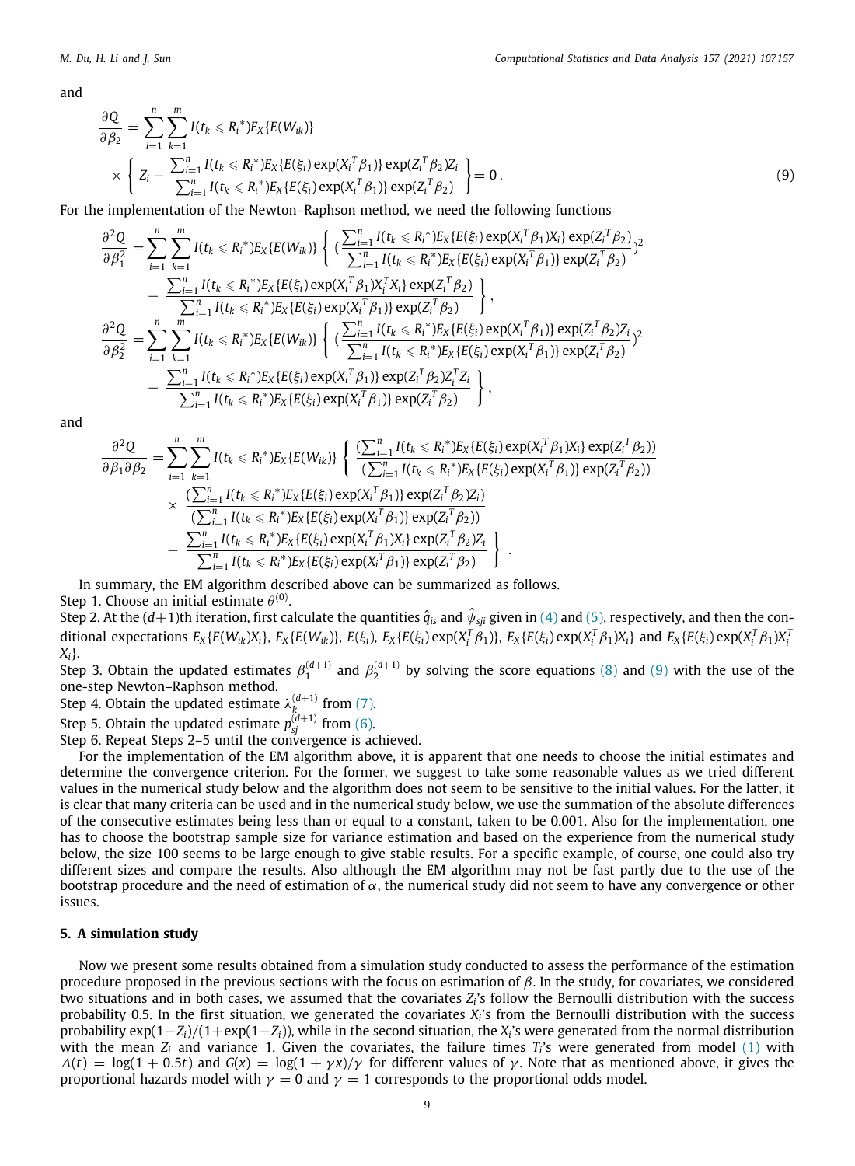and

$$
\frac{\partial Q}{\partial \beta_2} = \sum_{i=1}^n \sum_{k=1}^m I(t_k \leq R_i^*) E_X \{E(W_{ik})\} \times \left\{ Z_i - \frac{\sum_{i=1}^n I(t_k \leq R_i^*) E_X \{E(\xi_i) \exp(X_i^T \beta_1)\} \exp(Z_i^T \beta_2) Z_i}{\sum_{i=1}^n I(t_k \leq R_i^*) E_X \{E(\xi_i) \exp(X_i^T \beta_1)\} \exp(Z_i^T \beta_2)} \right\} = 0.
$$
\n(9)

For the implementation of the Newton–Raphson method, we need the following functions

<span id="page-8-1"></span>
$$
\frac{\partial^2 Q}{\partial \beta_1^2} = \sum_{i=1}^n \sum_{k=1}^m I(t_k \leq R_i^*) E_X \{E(W_{ik})\} \left\{ \left( \frac{\sum_{i=1}^n I(t_k \leq R_i^*) E_X \{E(\xi_i) \exp(X_i^T \beta_1) X_i\} \exp(Z_i^T \beta_2)}{\sum_{i=1}^n I(t_k \leq R_i^*) E_X \{E(\xi_i) \exp(X_i^T \beta_1)\} \exp(Z_i^T \beta_2)} \right)^2 - \frac{\sum_{i=1}^n I(t_k \leq R_i^*) E_X \{E(\xi_i) \exp(X_i^T \beta_1) X_i^T X_i\} \exp(Z_i^T \beta_2)}{\sum_{i=1}^n I(t_k \leq R_i^*) E_X \{E(\xi_i) \exp(X_i^T \beta_1)\} \exp(Z_i^T \beta_2)} \right\},
$$
\n
$$
\frac{\partial^2 Q}{\partial \beta_2^2} = \sum_{i=1}^n \sum_{k=1}^m I(t_k \leq R_i^*) E_X \{E(W_{ik})\} \left\{ \left( \frac{\sum_{i=1}^n I(t_k \leq R_i^*) E_X \{E(\xi_i) \exp(X_i^T \beta_1)\} \exp(Z_i^T \beta_2) Z_i}{\sum_{i=1}^n I(t_k \leq R_i^*) E_X \{E(\xi_i) \exp(X_i^T \beta_1)\} \exp(Z_i^T \beta_2) Z_i^T Z_i} \right\} - \frac{\sum_{i=1}^n I(t_k \leq R_i^*) E_X \{E(\xi_i) \exp(X_i^T \beta_1)\} \exp(Z_i^T \beta_2) Z_i^T Z_i}{\sum_{i=1}^n I(t_k \leq R_i^*) E_X \{E(\xi_i) \exp(X_i^T \beta_1)\} \exp(Z_i^T \beta_2)} \right\},
$$

and

$$
\frac{\partial^2 Q}{\partial \beta_1 \partial \beta_2} = \sum_{i=1}^n \sum_{k=1}^m I(t_k \leq R_i^*) E_X \{E(W_{ik})\} \left\{ \frac{\left(\sum_{i=1}^n I(t_k \leq R_i^*) E_X \{E(\xi_i) \exp(X_i^\mathsf{T} \beta_1) X_i\} \exp(Z_i^\mathsf{T} \beta_2)\right)}{\left(\sum_{i=1}^n I(t_k \leq R_i^*) E_X \{E(\xi_i) \exp(X_i^\mathsf{T} \beta_1)\} \exp(Z_i^\mathsf{T} \beta_2)\right)} \times \frac{\left(\sum_{i=1}^n I(t_k \leq R_i^*) E_X \{E(\xi_i) \exp(X_i^\mathsf{T} \beta_1)\} \exp(Z_i^\mathsf{T} \beta_2) Z_i\right)}{\left(\sum_{i=1}^n I(t_k \leq R_i^*) E_X \{E(\xi_i) \exp(X_i^\mathsf{T} \beta_1)\} \exp(Z_i^\mathsf{T} \beta_2)\right)} \times \frac{\sum_{i=1}^n I(t_k \leq R_i^*) E_X \{E(\xi_i) \exp(X_i^\mathsf{T} \beta_1) \} \exp(Z_i^\mathsf{T} \beta_2)}{\sum_{i=1}^n I(t_k \leq R_i^*) E_X \{E(\xi_i) \exp(X_i^\mathsf{T} \beta_1)\} \exp(Z_i^\mathsf{T} \beta_2)} \left\}.
$$

In summary, the EM algorithm described above can be summarized as follows.

Step 1. Choose an initial estimate  $\theta^{(0)}.$ 

Step 2. At the (d+1)th iteration, first calculate the quantities  $\hat{q}_i$  and  $\hat{\psi}_{\text{s}ji}$  given in [\(4](#page-6-0)) and ([5](#page-6-1)), respectively, and then the conditional expectations  $E_X\{E(W_{ik})X_i\}$ ,  $E_X\{E(W_{ik})\}$ ,  $E(\xi_i)$ ,  $E_X\{E(\xi_i)\exp(X_i^T\beta_1)\}$ ,  $E_X\{E(\xi_i)\exp(X_i^T\beta_1)X_i\}$  and  $E_X\{E(\xi_i)\exp(X_i^T\beta_1)X_i\}$ *Xi*}.

Step 3. Obtain the updated estimates  $\beta_1^{(d+1)}$  and  $\beta_2^{(d+1)}$  by solving the score equations ([8](#page-7-0)) and ([9](#page-8-1)) with the use of the one-step Newton–Raphson method.

Step 4. Obtain the updated estimate  $\lambda_k^{(d+1)}$  from ([7\)](#page-7-1).

Step 5. Obtain the updated estimate  $p_{sj}^{(d+1)}$  from [\(6](#page-7-2)).

Step 6. Repeat Steps 2–5 until the convergence is achieved.

For the implementation of the EM algorithm above, it is apparent that one needs to choose the initial estimates and determine the convergence criterion. For the former, we suggest to take some reasonable values as we tried different values in the numerical study below and the algorithm does not seem to be sensitive to the initial values. For the latter, it is clear that many criteria can be used and in the numerical study below, we use the summation of the absolute differences of the consecutive estimates being less than or equal to a constant, taken to be 0.001. Also for the implementation, one has to choose the bootstrap sample size for variance estimation and based on the experience from the numerical study below, the size 100 seems to be large enough to give stable results. For a specific example, of course, one could also try different sizes and compare the results. Also although the EM algorithm may not be fast partly due to the use of the bootstrap procedure and the need of estimation of  $\alpha$ , the numerical study did not seem to have any convergence or other issues.

# **5. A simulation study**

<span id="page-8-0"></span>Now we present some results obtained from a simulation study conducted to assess the performance of the estimation procedure proposed in the previous sections with the focus on estimation of  $β$ . In the study, for covariates, we considered two situations and in both cases, we assumed that the covariates *Z<sup>i</sup>* 's follow the Bernoulli distribution with the success probability 0.5. In the first situation, we generated the covariates *X<sup>i</sup>* 's from the Bernoulli distribution with the success probability exp(1−*Zi*)/(1+exp(1−*Zi*)), while in the second situation, the *X<sup>i</sup>* 's were generated from the normal distribution with the mean *Z<sup>i</sup>* and variance 1. Given the covariates, the failure times *T<sup>i</sup>* 's were generated from model [\(1\)](#page-1-1) with  $\Lambda(t) = \log(1 + 0.5t)$  and  $G(x) = \log(1 + \gamma x)/\gamma$  for different values of  $\gamma$ . Note that as mentioned above, it gives the proportional hazards model with  $\gamma = 0$  and  $\gamma = 1$  corresponds to the proportional odds model.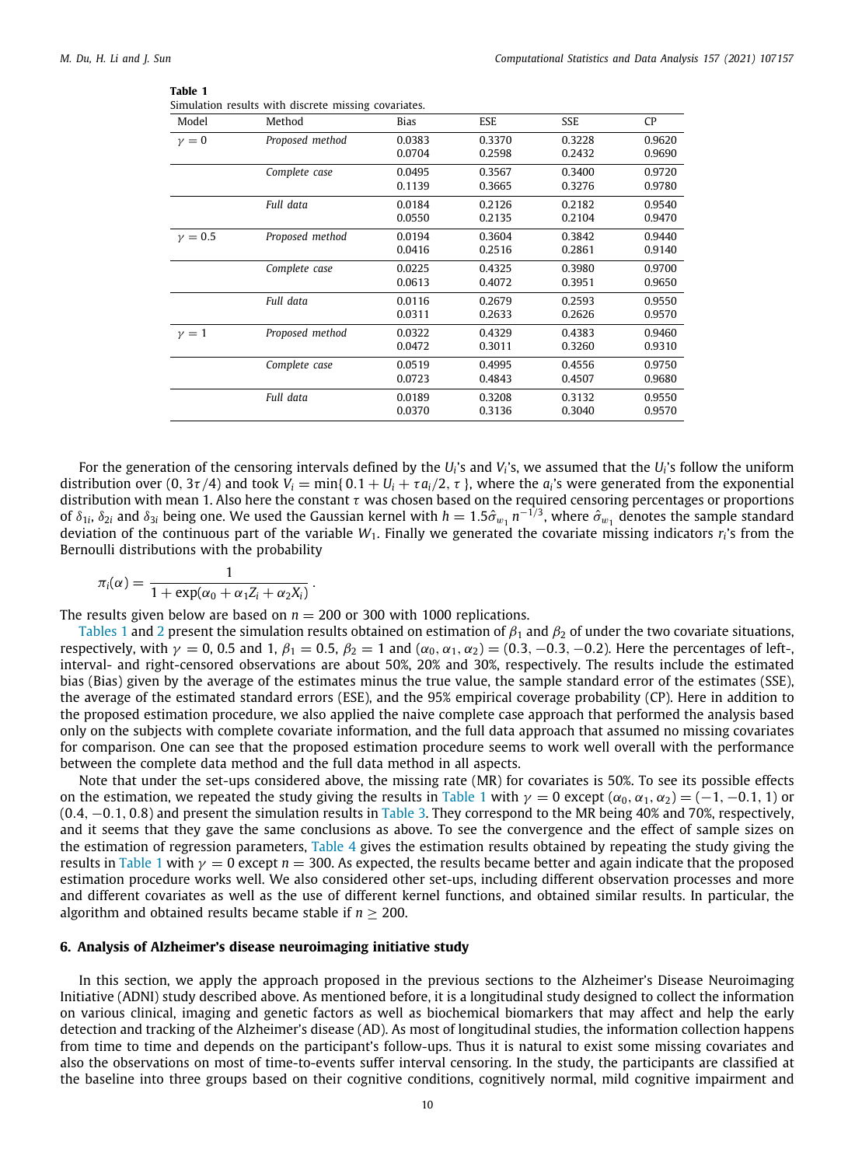#### <span id="page-9-1"></span>**Table 1**

|             | Simulation results with discrete missing covariates. |                  |                  |                  |                  |
|-------------|------------------------------------------------------|------------------|------------------|------------------|------------------|
| Model       | Method                                               | Bias             | ESE              | SSE              | CP               |
| $\gamma=0$  | Proposed method                                      | 0.0383<br>0.0704 | 0.3370<br>0.2598 | 0.3228<br>0.2432 | 0.9620<br>0.9690 |
|             | Complete case                                        | 0.0495<br>0.1139 | 0.3567<br>0.3665 | 0.3400<br>0.3276 | 0.9720<br>0.9780 |
|             | Full data                                            | 0.0184<br>0.0550 | 0.2126<br>0.2135 | 0.2182<br>0.2104 | 0.9540<br>0.9470 |
| $\nu = 0.5$ | Proposed method                                      | 0.0194<br>0.0416 | 0.3604<br>0.2516 | 0.3842<br>0.2861 | 0.9440<br>0.9140 |
|             | Complete case                                        | 0.0225<br>0.0613 | 0.4325<br>0.4072 | 0.3980<br>0.3951 | 0.9700<br>0.9650 |
|             | Full data                                            | 0.0116<br>0.0311 | 0.2679<br>0.2633 | 0.2593<br>0.2626 | 0.9550<br>0.9570 |
| $\nu = 1$   | Proposed method                                      | 0.0322<br>0.0472 | 0.4329<br>0.3011 | 0.4383<br>0.3260 | 0.9460<br>0.9310 |
|             | Complete case                                        | 0.0519<br>0.0723 | 0.4995<br>0.4843 | 0.4556<br>0.4507 | 0.9750<br>0.9680 |
|             | Full data                                            | 0.0189<br>0.0370 | 0.3208<br>0.3136 | 0.3132<br>0.3040 | 0.9550<br>0.9570 |
|             |                                                      |                  |                  |                  |                  |

For the generation of the censoring intervals defined by the *U<sup>i</sup>* 's and *V<sup>i</sup>* 's, we assumed that the *U<sup>i</sup>* 's follow the uniform distribution over (0, 3 $\tau/4$ ) and took  $V_i = \min\{0.1 + U_i + \tau a_i/2, \tau\}$ , where the  $a_i$ 's were generated from the exponential distribution with mean 1. Also here the constant  $\tau$  was chosen based on the required censoring percentages or proportions of  $\delta_{1i}$ ,  $\delta_{2i}$  and  $\delta_{3i}$  being one. We used the Gaussian kernel with  $h=1.5\hat\sigma_{w_1}$   $n^{-1/3}$ , where  $\hat\sigma_{w_1}$  denotes the sample standard deviation of the continuous part of the variable *W*1. Finally we generated the covariate missing indicators *r<sup>i</sup>* 's from the Bernoulli distributions with the probability

$$
\pi_i(\alpha) = \frac{1}{1 + \exp(\alpha_0 + \alpha_1 Z_i + \alpha_2 X_i)}.
$$

The results given below are based on  $n = 200$  or 300 with 1000 replications.

[Tables](#page-9-1) [1](#page-9-1) and [2](#page-10-0) present the simulation results obtained on estimation of  $\beta_1$  and  $\beta_2$  of under the two covariate situations, respectively, with  $\gamma = 0$ , 0.5 and 1,  $\beta_1 = 0.5$ ,  $\beta_2 = 1$  and  $(\alpha_0, \alpha_1, \alpha_2) = (0.3, -0.3, -0.2)$ . Here the percentages of left-, interval- and right-censored observations are about 50%, 20% and 30%, respectively. The results include the estimated bias (Bias) given by the average of the estimates minus the true value, the sample standard error of the estimates (SSE), the average of the estimated standard errors (ESE), and the 95% empirical coverage probability (CP). Here in addition to the proposed estimation procedure, we also applied the naive complete case approach that performed the analysis based only on the subjects with complete covariate information, and the full data approach that assumed no missing covariates for comparison. One can see that the proposed estimation procedure seems to work well overall with the performance between the complete data method and the full data method in all aspects.

Note that under the set-ups considered above, the missing rate (MR) for covariates is 50%. To see its possible effects on the estimation, we repeated the study giving the results in [Table](#page-9-1) [1](#page-9-1) with  $\gamma = 0$  except ( $\alpha_0, \alpha_1, \alpha_2$ ) = (-1, -0.1, 1) or (0.4, −0.1, 0.8) and present the simulation results in [Table](#page-10-1) [3](#page-10-1). They correspond to the MR being 40% and 70%, respectively, and it seems that they gave the same conclusions as above. To see the convergence and the effect of sample sizes on the estimation of regression parameters, [Table](#page-10-2) [4](#page-10-2) gives the estimation results obtained by repeating the study giving the results in [Table](#page-9-1) [1](#page-9-1) with  $\gamma = 0$  except  $n = 300$ . As expected, the results became better and again indicate that the proposed estimation procedure works well. We also considered other set-ups, including different observation processes and more and different covariates as well as the use of different kernel functions, and obtained similar results. In particular, the algorithm and obtained results became stable if  $n \geq 200$ .

#### **6. Analysis of Alzheimer's disease neuroimaging initiative study**

<span id="page-9-0"></span>In this section, we apply the approach proposed in the previous sections to the Alzheimer's Disease Neuroimaging Initiative (ADNI) study described above. As mentioned before, it is a longitudinal study designed to collect the information on various clinical, imaging and genetic factors as well as biochemical biomarkers that may affect and help the early detection and tracking of the Alzheimer's disease (AD). As most of longitudinal studies, the information collection happens from time to time and depends on the participant's follow-ups. Thus it is natural to exist some missing covariates and also the observations on most of time-to-events suffer interval censoring. In the study, the participants are classified at the baseline into three groups based on their cognitive conditions, cognitively normal, mild cognitive impairment and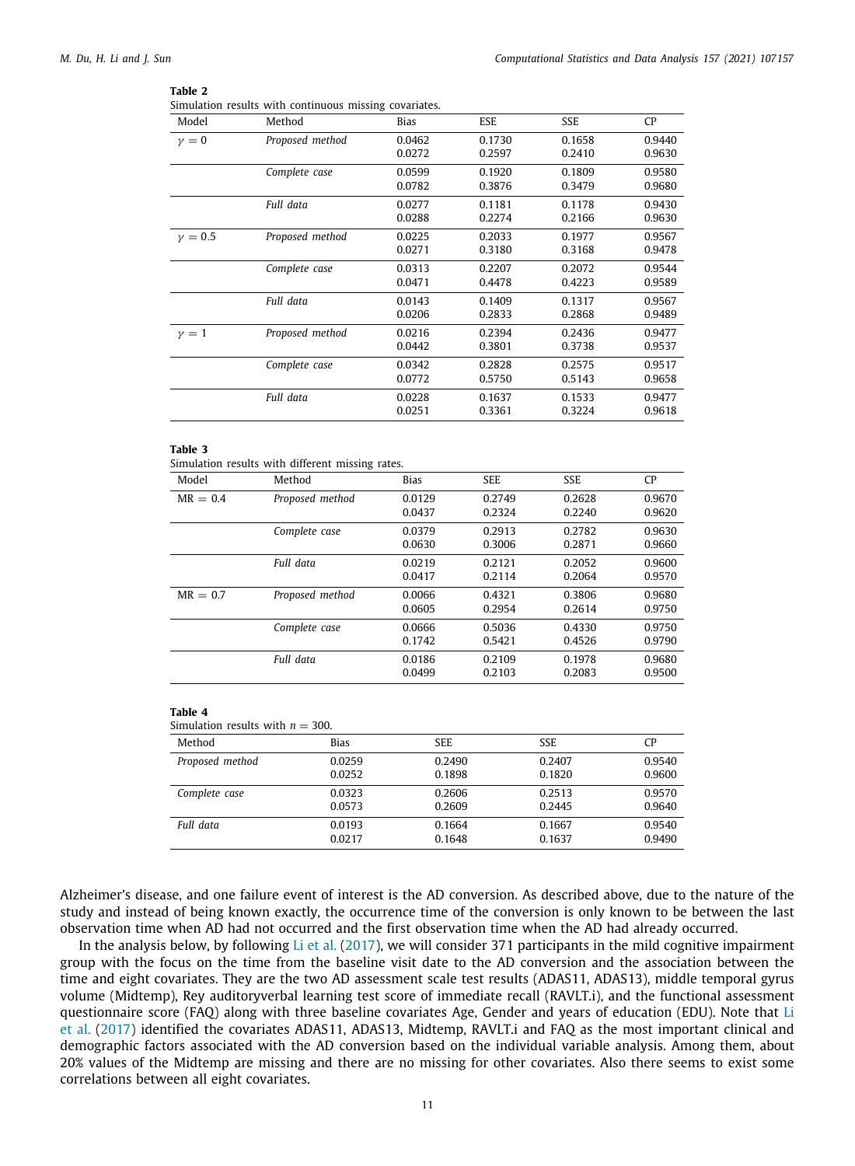#### <span id="page-10-0"></span>**Table 2**

|  |  |  | Simulation results with continuous missing covariates. |  |  |
|--|--|--|--------------------------------------------------------|--|--|
|--|--|--|--------------------------------------------------------|--|--|

| Model       | Method          | Bias   | <b>ESE</b> | SSE    | <b>CP</b> |
|-------------|-----------------|--------|------------|--------|-----------|
| $\nu = 0$   | Proposed method | 0.0462 | 0.1730     | 0.1658 | 0.9440    |
|             |                 | 0.0272 | 0.2597     | 0.2410 | 0.9630    |
|             | Complete case   | 0.0599 | 0.1920     | 0.1809 | 0.9580    |
|             |                 | 0.0782 | 0.3876     | 0.3479 | 0.9680    |
|             | Full data       | 0.0277 | 0.1181     | 0.1178 | 0.9430    |
|             |                 | 0.0288 | 0.2274     | 0.2166 | 0.9630    |
| $\nu = 0.5$ | Proposed method | 0.0225 | 0.2033     | 0.1977 | 0.9567    |
|             |                 | 0.0271 | 0.3180     | 0.3168 | 0.9478    |
|             | Complete case   | 0.0313 | 0.2207     | 0.2072 | 0.9544    |
|             |                 | 0.0471 | 0.4478     | 0.4223 | 0.9589    |
|             | Full data       | 0.0143 | 0.1409     | 0.1317 | 0.9567    |
|             |                 | 0.0206 | 0.2833     | 0.2868 | 0.9489    |
| $\nu = 1$   | Proposed method | 0.0216 | 0.2394     | 0.2436 | 0.9477    |
|             |                 | 0.0442 | 0.3801     | 0.3738 | 0.9537    |
|             | Complete case   | 0.0342 | 0.2828     | 0.2575 | 0.9517    |
|             |                 | 0.0772 | 0.5750     | 0.5143 | 0.9658    |
|             | Full data       | 0.0228 | 0.1637     | 0.1533 | 0.9477    |
|             |                 | 0.0251 | 0.3361     | 0.3224 | 0.9618    |
|             |                 |        |            |        |           |

#### **Table 3**

<span id="page-10-1"></span>Simulation results with different missing rates.

| Model      | Method          | <b>Bias</b> | <b>SEE</b> | SSE    | <b>CP</b> |
|------------|-----------------|-------------|------------|--------|-----------|
| $MR = 0.4$ | Proposed method | 0.0129      | 0.2749     | 0.2628 | 0.9670    |
|            |                 | 0.0437      | 0.2324     | 0.2240 | 0.9620    |
|            | Complete case   | 0.0379      | 0.2913     | 0.2782 | 0.9630    |
|            |                 | 0.0630      | 0.3006     | 0.2871 | 0.9660    |
|            | Full data       | 0.0219      | 0.2121     | 0.2052 | 0.9600    |
|            |                 | 0.0417      | 0.2114     | 0.2064 | 0.9570    |
| $MR = 0.7$ | Proposed method | 0.0066      | 0.4321     | 0.3806 | 0.9680    |
|            |                 | 0.0605      | 0.2954     | 0.2614 | 0.9750    |
|            | Complete case   | 0.0666      | 0.5036     | 0.4330 | 0.9750    |
|            |                 | 0.1742      | 0.5421     | 0.4526 | 0.9790    |
|            | Full data       | 0.0186      | 0.2109     | 0.1978 | 0.9680    |
|            |                 | 0.0499      | 0.2103     | 0.2083 | 0.9500    |

#### <span id="page-10-2"></span>**Table 4**

| Simulation results with $n = 300$ . |  |
|-------------------------------------|--|
|-------------------------------------|--|

| Method          | <b>Bias</b> | <b>SEE</b> | <b>SSE</b> | СP     |
|-----------------|-------------|------------|------------|--------|
| Proposed method | 0.0259      | 0.2490     | 0.2407     | 0.9540 |
|                 | 0.0252      | 0.1898     | 0.1820     | 0.9600 |
| Complete case   | 0.0323      | 0.2606     | 0.2513     | 0.9570 |
|                 | 0.0573      | 0.2609     | 0.2445     | 0.9640 |
| Full data       | 0.0193      | 0.1664     | 0.1667     | 0.9540 |
|                 | 0.0217      | 0.1648     | 0.1637     | 0.9490 |

Alzheimer's disease, and one failure event of interest is the AD conversion. As described above, due to the nature of the study and instead of being known exactly, the occurrence time of the conversion is only known to be between the last observation time when AD had not occurred and the first observation time when the AD had already occurred.

In the analysis below, by following [Li et al.](#page-14-26) [\(2017](#page-14-26)), we will consider 371 participants in the mild cognitive impairment group with the focus on the time from the baseline visit date to the AD conversion and the association between the time and eight covariates. They are the two AD assessment scale test results (ADAS11, ADAS13), middle temporal gyrus volume (Midtemp), Rey auditoryverbal learning test score of immediate recall (RAVLT.i), and the functional assessment questionnaire score (FAQ) along with three baseline covariates Age, Gender and years of education (EDU). Note that [Li](#page-14-26) [et al.](#page-14-26) [\(2017](#page-14-26)) identified the covariates ADAS11, ADAS13, Midtemp, RAVLT.i and FAQ as the most important clinical and demographic factors associated with the AD conversion based on the individual variable analysis. Among them, about 20% values of the Midtemp are missing and there are no missing for other covariates. Also there seems to exist some correlations between all eight covariates.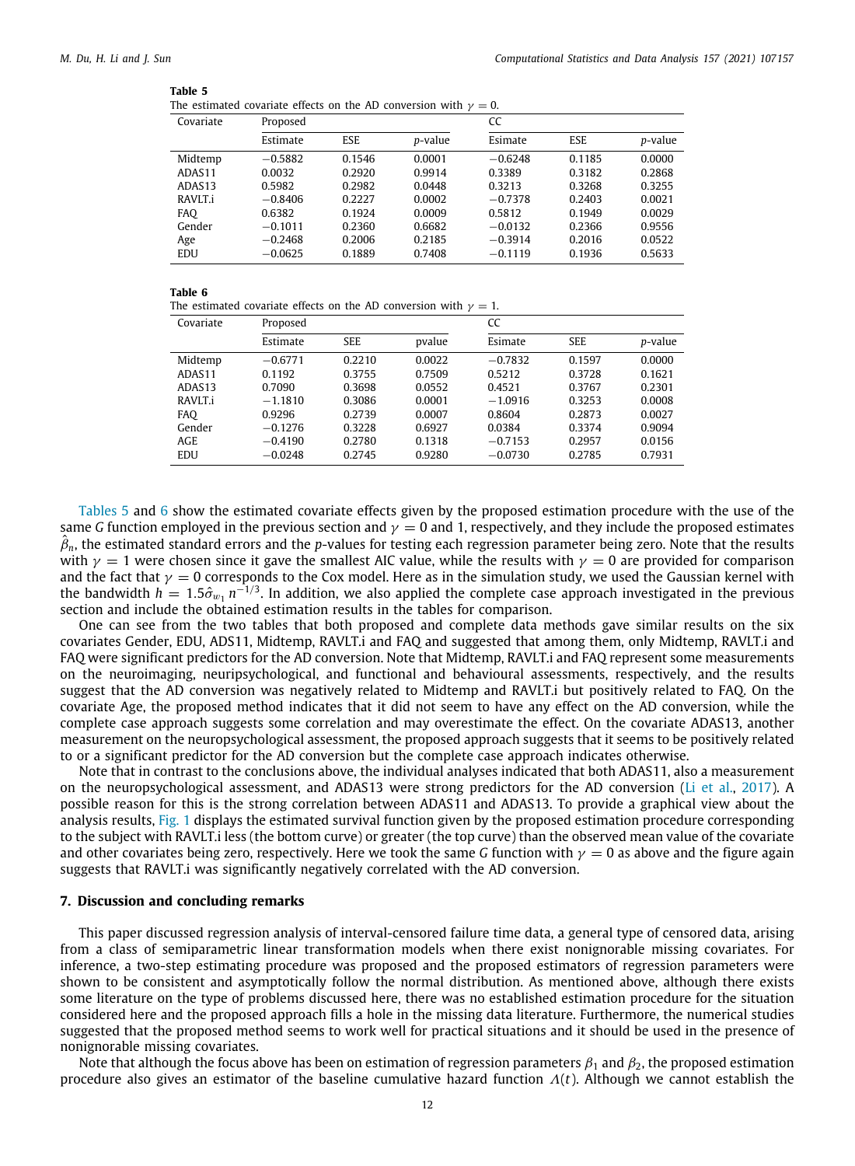#### <span id="page-11-1"></span>**Table 5**

|  |  |  |  |  |  |  | The estimated covariate effects on the AD conversion with $\gamma=0$ . |  |  |  |  |
|--|--|--|--|--|--|--|------------------------------------------------------------------------|--|--|--|--|
|--|--|--|--|--|--|--|------------------------------------------------------------------------|--|--|--|--|

| Covariate | Proposed  |            |         | CC        |            |         |  |
|-----------|-----------|------------|---------|-----------|------------|---------|--|
|           | Estimate  | <b>ESE</b> | p-value | Esimate   | <b>ESE</b> | p-value |  |
| Midtemp   | $-0.5882$ | 0.1546     | 0.0001  | $-0.6248$ | 0.1185     | 0.0000  |  |
| ADAS11    | 0.0032    | 0.2920     | 0.9914  | 0.3389    | 0.3182     | 0.2868  |  |
| ADAS13    | 0.5982    | 0.2982     | 0.0448  | 0.3213    | 0.3268     | 0.3255  |  |
| RAVLT.i   | $-0.8406$ | 0.2227     | 0.0002  | $-0.7378$ | 0.2403     | 0.0021  |  |
| FAQ       | 0.6382    | 0.1924     | 0.0009  | 0.5812    | 0.1949     | 0.0029  |  |
| Gender    | $-0.1011$ | 0.2360     | 0.6682  | $-0.0132$ | 0.2366     | 0.9556  |  |
| Age       | $-0.2468$ | 0.2006     | 0.2185  | $-0.3914$ | 0.2016     | 0.0522  |  |
| EDU       | $-0.0625$ | 0.1889     | 0.7408  | $-0.1119$ | 0.1936     | 0.5633  |  |

#### <span id="page-11-2"></span>**Table 6**

|  |  |  |  |  |  |  | The estimated covariate effects on the AD conversion with $\gamma = 1$ . |  |  |  |  |
|--|--|--|--|--|--|--|--------------------------------------------------------------------------|--|--|--|--|
|--|--|--|--|--|--|--|--------------------------------------------------------------------------|--|--|--|--|

| Covariate | Proposed  |            |        | CC        |            |                 |  |  |
|-----------|-----------|------------|--------|-----------|------------|-----------------|--|--|
|           | Estimate  | <b>SEE</b> | pvalue | Esimate   | <b>SEE</b> | <i>p</i> -value |  |  |
| Midtemp   | $-0.6771$ | 0.2210     | 0.0022 | $-0.7832$ | 0.1597     | 0.0000          |  |  |
| ADAS11    | 0.1192    | 0.3755     | 0.7509 | 0.5212    | 0.3728     | 0.1621          |  |  |
| ADAS13    | 0.7090    | 0.3698     | 0.0552 | 0.4521    | 0.3767     | 0.2301          |  |  |
| RAVLT.i   | $-1.1810$ | 0.3086     | 0.0001 | $-1.0916$ | 0.3253     | 0.0008          |  |  |
| FAO       | 0.9296    | 0.2739     | 0.0007 | 0.8604    | 0.2873     | 0.0027          |  |  |
| Gender    | $-0.1276$ | 0.3228     | 0.6927 | 0.0384    | 0.3374     | 0.9094          |  |  |
| AGE       | $-0.4190$ | 0.2780     | 0.1318 | $-0.7153$ | 0.2957     | 0.0156          |  |  |
| EDU       | $-0.0248$ | 0.2745     | 0.9280 | $-0.0730$ | 0.2785     | 0.7931          |  |  |

[Tables](#page-11-1) [5](#page-11-1) and [6](#page-11-2) show the estimated covariate effects given by the proposed estimation procedure with the use of the same *G* function employed in the previous section and  $\gamma = 0$  and 1, respectively, and they include the proposed estimates  $\hat{\beta}_n$ , the estimated standard errors and the *p*-values for testing each regression parameter being zero. Note that the results with  $\gamma = 1$  were chosen since it gave the smallest AIC value, while the results with  $\gamma = 0$  are provided for comparison and the fact that  $\gamma = 0$  corresponds to the Cox model. Here as in the simulation study, we used the Gaussian kernel with the bandwidth  $h=1.5\hat{\sigma}_{w_1}\,n^{-1/3}$ . In addition, we also applied the complete case approach investigated in the previous section and include the obtained estimation results in the tables for comparison.

One can see from the two tables that both proposed and complete data methods gave similar results on the six covariates Gender, EDU, ADS11, Midtemp, RAVLT.i and FAQ and suggested that among them, only Midtemp, RAVLT.i and FAQ were significant predictors for the AD conversion. Note that Midtemp, RAVLT.i and FAQ represent some measurements on the neuroimaging, neuripsychological, and functional and behavioural assessments, respectively, and the results suggest that the AD conversion was negatively related to Midtemp and RAVLT.i but positively related to FAQ. On the covariate Age, the proposed method indicates that it did not seem to have any effect on the AD conversion, while the complete case approach suggests some correlation and may overestimate the effect. On the covariate ADAS13, another measurement on the neuropsychological assessment, the proposed approach suggests that it seems to be positively related to or a significant predictor for the AD conversion but the complete case approach indicates otherwise.

Note that in contrast to the conclusions above, the individual analyses indicated that both ADAS11, also a measurement on the neuropsychological assessment, and ADAS13 were strong predictors for the AD conversion [\(Li et al.,](#page-14-26) [2017\)](#page-14-26). A possible reason for this is the strong correlation between ADAS11 and ADAS13. To provide a graphical view about the analysis results, [Fig.](#page-12-0) [1](#page-12-0) displays the estimated survival function given by the proposed estimation procedure corresponding to the subject with RAVLT.i less (the bottom curve) or greater (the top curve) than the observed mean value of the covariate and other covariates being zero, respectively. Here we took the same *G* function with  $\gamma = 0$  as above and the figure again suggests that RAVLT.i was significantly negatively correlated with the AD conversion.

## **7. Discussion and concluding remarks**

<span id="page-11-0"></span>This paper discussed regression analysis of interval-censored failure time data, a general type of censored data, arising from a class of semiparametric linear transformation models when there exist nonignorable missing covariates. For inference, a two-step estimating procedure was proposed and the proposed estimators of regression parameters were shown to be consistent and asymptotically follow the normal distribution. As mentioned above, although there exists some literature on the type of problems discussed here, there was no established estimation procedure for the situation considered here and the proposed approach fills a hole in the missing data literature. Furthermore, the numerical studies suggested that the proposed method seems to work well for practical situations and it should be used in the presence of nonignorable missing covariates.

Note that although the focus above has been on estimation of regression parameters  $\beta_1$  and  $\beta_2$ , the proposed estimation procedure also gives an estimator of the baseline cumulative hazard function  $\Lambda(t)$ . Although we cannot establish the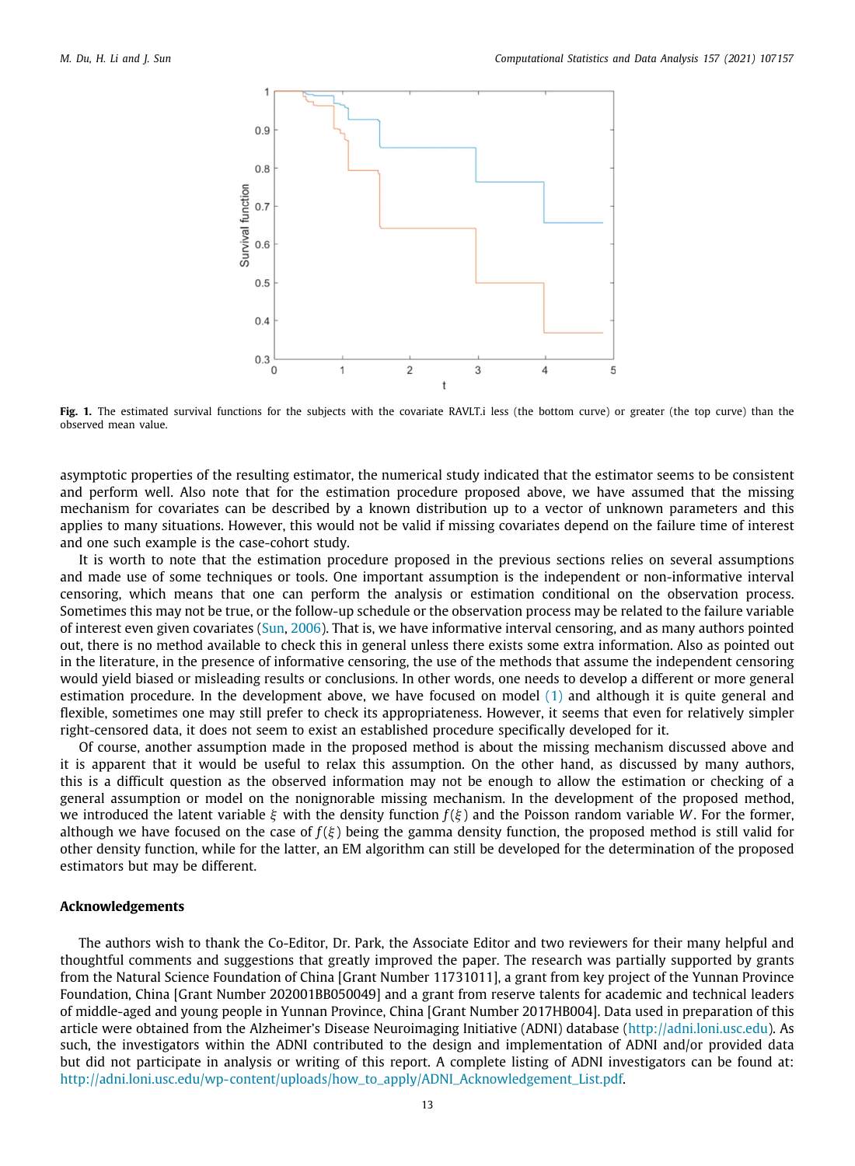

<span id="page-12-0"></span>Fig. 1. The estimated survival functions for the subjects with the covariate RAVLT.i less (the bottom curve) or greater (the top curve) than the observed mean value.

asymptotic properties of the resulting estimator, the numerical study indicated that the estimator seems to be consistent and perform well. Also note that for the estimation procedure proposed above, we have assumed that the missing mechanism for covariates can be described by a known distribution up to a vector of unknown parameters and this applies to many situations. However, this would not be valid if missing covariates depend on the failure time of interest and one such example is the case-cohort study.

It is worth to note that the estimation procedure proposed in the previous sections relies on several assumptions and made use of some techniques or tools. One important assumption is the independent or non-informative interval censoring, which means that one can perform the analysis or estimation conditional on the observation process. Sometimes this may not be true, or the follow-up schedule or the observation process may be related to the failure variable of interest even given covariates ([Sun](#page-14-14), [2006\)](#page-14-14). That is, we have informative interval censoring, and as many authors pointed out, there is no method available to check this in general unless there exists some extra information. Also as pointed out in the literature, in the presence of informative censoring, the use of the methods that assume the independent censoring would yield biased or misleading results or conclusions. In other words, one needs to develop a different or more general estimation procedure. In the development above, we have focused on model ([1](#page-1-1)) and although it is quite general and flexible, sometimes one may still prefer to check its appropriateness. However, it seems that even for relatively simpler right-censored data, it does not seem to exist an established procedure specifically developed for it.

Of course, another assumption made in the proposed method is about the missing mechanism discussed above and it is apparent that it would be useful to relax this assumption. On the other hand, as discussed by many authors, this is a difficult question as the observed information may not be enough to allow the estimation or checking of a general assumption or model on the nonignorable missing mechanism. In the development of the proposed method, we introduced the latent variable ξ with the density function *f* (ξ ) and the Poisson random variable *W*. For the former, although we have focused on the case of  $f(\xi)$  being the gamma density function, the proposed method is still valid for other density function, while for the latter, an EM algorithm can still be developed for the determination of the proposed estimators but may be different.

# **Acknowledgements**

The authors wish to thank the Co-Editor, Dr. Park, the Associate Editor and two reviewers for their many helpful and thoughtful comments and suggestions that greatly improved the paper. The research was partially supported by grants from the Natural Science Foundation of China [Grant Number 11731011], a grant from key project of the Yunnan Province Foundation, China [Grant Number 202001BB050049] and a grant from reserve talents for academic and technical leaders of middle-aged and young people in Yunnan Province, China [Grant Number 2017HB004]. Data used in preparation of this article were obtained from the Alzheimer's Disease Neuroimaging Initiative (ADNI) database [\(http://adni.loni.usc.edu](http://adni.loni.usc.edu)). As such, the investigators within the ADNI contributed to the design and implementation of ADNI and/or provided data but did not participate in analysis or writing of this report. A complete listing of ADNI investigators can be found at: [http://adni.loni.usc.edu/wp-content/uploads/how\\_to\\_apply/ADNI\\_Acknowledgement\\_List.pdf.](http://adni.loni.usc.edu/wp-content/uploads/how_to_apply/ADNI_Acknowledgement_List.pdf)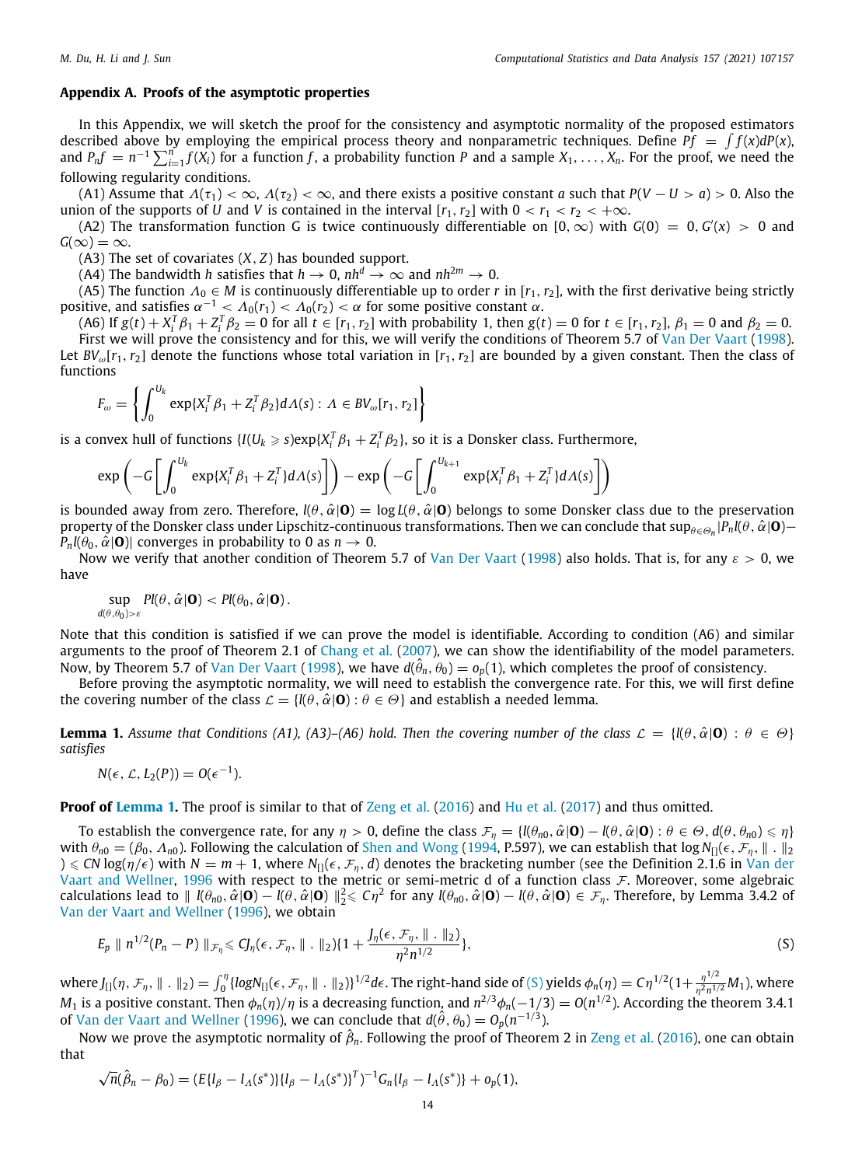## **Appendix A. Proofs of the asymptotic properties**

<span id="page-13-0"></span>In this Appendix, we will sketch the proof for the consistency and asymptotic normality of the proposed estimators described above by employing the empirical process theory and nonparametric techniques. Define  $Pf = \int f(x) dP(x)$ , and  $P_n f = n^{-1} \sum_{i=1}^n f(X_i)$  for a function f, a probability function P and a sample  $X_1, \ldots, X_n$ . For the proof, we need the following regularity conditions.

(A1) Assume that  $\Lambda(\tau_1) < \infty$ ,  $\Lambda(\tau_2) < \infty$ , and there exists a positive constant *a* such that  $P(V - U > a) > 0$ . Also the union of the supports of *U* and *V* is contained in the interval  $[r_1, r_2]$  with  $0 < r_1 < r_2 < +\infty$ .

(A2) The transformation function G is twice continuously differentiable on  $[0,\infty)$  with  $G(0) = 0, G'(x) > 0$  and  $G(\infty) = \infty$ .

(A3) The set of covariates (*X*, *Z*) has bounded support.

(A4) The bandwidth *h* satisfies that  $h \to 0$ ,  $nh^d \to \infty$  and  $nh^{2m} \to 0$ .

(A5) The function  $\Lambda_0 \in M$  is continuously differentiable up to order *r* in [ $r_1, r_2$ ], with the first derivative being strictly positive, and satisfies  $\alpha^{-1} < \Lambda_0(r_1) < \Lambda_0(r_2) < \alpha$  for some positive constant  $\alpha$ .

(A6) If  $g(t) + X_i^T \beta_1 + Z_i^T \beta_2 = 0$  for all  $t \in [r_1, r_2]$  with probability 1, then  $g(t) = 0$  for  $t \in [r_1, r_2]$ ,  $\beta_1 = 0$  and  $\beta_2 = 0$ . First we will prove the consistency and for this, we will verify the conditions of Theorem 5.7 of [Van Der Vaart](#page-14-27) ([1998\)](#page-14-27). Let  $BV_{\omega}[r_1, r_2]$  denote the functions whose total variation in  $[r_1, r_2]$  are bounded by a given constant. Then the class of functions

$$
F_{\omega} = \left\{ \int_0^{U_k} \exp\{X_i^T \beta_1 + Z_i^T \beta_2\} d\Lambda(s) : \Lambda \in BV_{\omega}[r_1, r_2] \right\}
$$

is a convex hull of functions  $\{I(U_k\geqslant s) \exp\{X_i^T\beta_1+Z_i^T\beta_2\},$  so it is a Donsker class. Furthermore,

$$
\exp\left(-G\left[\int_0^{U_k} \exp\{X_i^T\beta_1 + Z_i^T\} d\Lambda(s)\right]\right) - \exp\left(-G\left[\int_0^{U_{k+1}} \exp\{X_i^T\beta_1 + Z_i^T\} d\Lambda(s)\right]\right)
$$

is bounded away from zero. Therefore,  $l(\theta, \hat{\alpha}|\mathbf{O}) = \log L(\theta, \hat{\alpha}|\mathbf{O})$  belongs to some Donsker class due to the preservation property of the Donsker class under Lipschitz-continuous transformations. Then we can conclude that  $\sup_{\theta\in\Theta_n}|P_n(\theta,\hat\alpha|{\bf 0}) P_n$ *l*( $\theta_0$ ,  $\hat{\alpha}$ **|O**)| converges in probability to 0 as  $n \to 0$ .

Now we verify that another condition of Theorem 5.7 of [Van Der Vaart](#page-14-27) [\(1998\)](#page-14-27) also holds. That is, for any  $\varepsilon > 0$ , we have

$$
\sup_{d(\theta,\theta_0)>\varepsilon} Pl(\theta,\hat{\alpha}|\mathbf{0}) < Pl(\theta_0,\hat{\alpha}|\mathbf{0}).
$$

Note that this condition is satisfied if we can prove the model is identifiable. According to condition (A6) and similar arguments to the proof of Theorem 2.1 of [Chang et al.](#page-14-28) [\(2007](#page-14-28)), we can show the identifiability of the model parameters. Now, by Theorem 5.7 of [Van Der Vaart](#page-14-27) ([1998](#page-14-27)), we have  $d(\hat{\theta}_n,\hat{\theta}_0)=o_p(1)$ , which completes the proof of consistency.

Before proving the asymptotic normality, we will need to establish the convergence rate. For this, we will first define the covering number of the class  $\mathcal{L} = \{l(\theta, \hat{\alpha} | \mathbf{O}) : \theta \in \Theta\}$  and establish a needed lemma.

<span id="page-13-1"></span>**Lemma 1.** Assume that Conditions (A1), (A3)–(A6) hold. Then the covering number of the class  $\mathcal{L} = \{l(\theta, \hat{\alpha}|\mathbf{0}) : \theta \in \Theta\}$ *satisfies*

$$
N(\epsilon,\mathcal{L},L_2(P))=O(\epsilon^{-1}).
$$

**Proof of [Lemma](#page-13-1) [1](#page-13-1).** The proof is similar to that of [Zeng et al.](#page-14-16) ([2016\)](#page-14-16) and [Hu et al.](#page-14-29) [\(2017\)](#page-14-29) and thus omitted.

To establish the convergence rate, for any  $\eta > 0$ , define the class  $\mathcal{F}_{\eta} = \{l(\theta_{n0}, \hat{\alpha}|\mathbf{O}) - l(\theta, \hat{\alpha}|\mathbf{O}) : \theta \in \Theta, d(\theta, \theta_{n0}) \leq \eta\}$ with  $\theta_{n0} = (\beta_0, \Lambda_{n0})$ . Following the calculation of [Shen and Wong](#page-14-30) [\(1994,](#page-14-30) P.597), we can establish that log  $N_{\text{II}}(\epsilon, \mathcal{F}_n, \| \cdot \|_2)$  $\zeta \le CN \log(\eta/\epsilon)$  with  $N = m + 1$ , where  $N_{\eta}(\epsilon, \mathcal{F}_{\eta}, d)$  denotes the bracketing number (see the Definition 2.1.6 in [Van der](#page-14-31) [Vaart and Wellner,](#page-14-31) [1996](#page-14-31) with respect to the metric or semi-metric d of a function class  $\mathcal F$ . Moreover, some algebraic calculations lead to  $\|$  *l*( $\theta_{n0}$ ,  $\hat{\alpha}$ **|O**)  $-$  *l*( $\theta$ ,  $\hat{\alpha}$ **|O**)  $\|_2^2 \le C\eta^2$  for any *l*( $\theta_{n0}$ ,  $\hat{\alpha}$ **|O**)  $-$  *l*( $\theta$ ,  $\hat{\alpha}$ **|O**)  $\in \mathcal{F}_\eta$ . Therefore, by Lemma 3.4.2 of [Van der Vaart and Wellner](#page-14-31) [\(1996\)](#page-14-31), we obtain

<span id="page-13-2"></span>
$$
E_p \parallel n^{1/2}(P_n - P) \parallel_{\mathcal{F}_\eta} \leq C J_\eta(\epsilon, \mathcal{F}_\eta, \| \cdot \|_2) \{ 1 + \frac{J_\eta(\epsilon, \mathcal{F}_\eta, \| \cdot \|_2)}{\eta^2 n^{1/2}} \},
$$
\n(S)

where  $J_{[]}(\eta,\mathcal{F}_{\eta},\|\,.\,\|_2)=\int_0^{\eta}\{logN_{[]}(\epsilon,\mathcal{F}_{\eta},\|\,.\,\|_2)\}^{1/2}d\epsilon.$  The right-hand side of ([S\)](#page-13-2) yields  $\phi_n(\eta)=C\eta^{1/2}(1+\frac{\eta^{1/2}}{\eta^2n^{1/2}})$  $\frac{\eta}{\eta^2 n^{1/2}} M_1$ ), where M<sub>1</sub> is a positive constant. Then  $\phi_n(\eta)/\eta$  is a decreasing function, and  $n^{2/3}\phi_n(-1/3) = O(n^{1/2})$ . According the theorem 3.4.1 of [Van der Vaart and Wellner](#page-14-31) ([1996\)](#page-14-31), we can conclude that  $d(\hat{\theta}, \theta_0) = O_p(n^{-1/3})$ .

Now we prove the asymptotic normality of  $\hat{\beta}_n$ . Following the proof of Theorem 2 in [Zeng et al.](#page-14-16) [\(2016](#page-14-16)), one can obtain that √

$$
\sqrt{n}(\hat{\beta}_n - \beta_0) = (E\{I_\beta - I_\Lambda(s^*)\}\{I_\beta - I_\Lambda(s^*)\}^T)^{-1} G_n\{I_\beta - I_\Lambda(s^*)\} + o_p(1),
$$